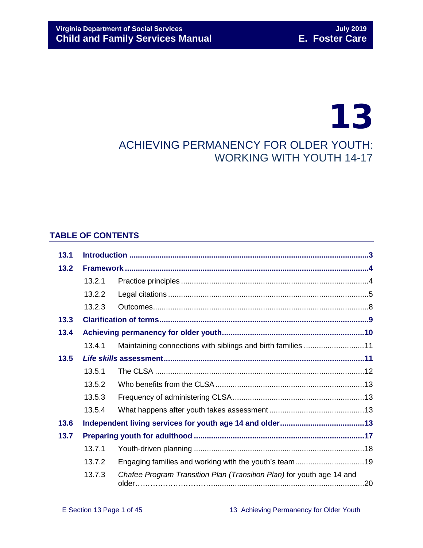# 13 ACHIEVING PERMANENCY FOR OLDER YOUTH: WORKING WITH YOUTH 14-17

# **TABLE OF CONTENTS**

| 13.1 |        |                                                                       |  |  |
|------|--------|-----------------------------------------------------------------------|--|--|
| 13.2 |        |                                                                       |  |  |
|      | 13.2.1 |                                                                       |  |  |
|      | 13.2.2 |                                                                       |  |  |
|      | 13.2.3 |                                                                       |  |  |
| 13.3 |        |                                                                       |  |  |
| 13.4 |        |                                                                       |  |  |
|      | 13.4.1 | Maintaining connections with siblings and birth families 11           |  |  |
| 13.5 |        |                                                                       |  |  |
|      | 13.5.1 |                                                                       |  |  |
|      | 13.5.2 |                                                                       |  |  |
|      | 13.5.3 |                                                                       |  |  |
|      | 13.5.4 |                                                                       |  |  |
| 13.6 |        |                                                                       |  |  |
| 13.7 |        |                                                                       |  |  |
|      | 13.7.1 |                                                                       |  |  |
|      | 13.7.2 | Engaging families and working with the youth's team19                 |  |  |
|      | 13.7.3 | Chafee Program Transition Plan (Transition Plan) for youth age 14 and |  |  |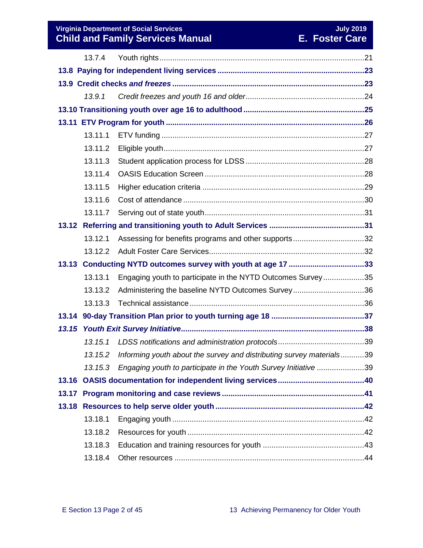## **Virginia Department of Social Services** July 2019 **July 2019 Child and Family Services Manual E. Foster Care**

|       | 13.7.4  |                                                                      |  |  |  |  |
|-------|---------|----------------------------------------------------------------------|--|--|--|--|
|       |         |                                                                      |  |  |  |  |
|       |         |                                                                      |  |  |  |  |
|       | 13.9.1  |                                                                      |  |  |  |  |
|       |         |                                                                      |  |  |  |  |
|       |         |                                                                      |  |  |  |  |
|       | 13.11.1 |                                                                      |  |  |  |  |
|       | 13.11.2 |                                                                      |  |  |  |  |
|       | 13.11.3 |                                                                      |  |  |  |  |
|       | 13.11.4 |                                                                      |  |  |  |  |
|       | 13.11.5 |                                                                      |  |  |  |  |
|       | 13.11.6 |                                                                      |  |  |  |  |
|       | 13.11.7 |                                                                      |  |  |  |  |
|       |         |                                                                      |  |  |  |  |
|       | 13.12.1 | Assessing for benefits programs and other supports32                 |  |  |  |  |
|       | 13.12.2 |                                                                      |  |  |  |  |
|       | 13.13   |                                                                      |  |  |  |  |
|       | 13.13.1 | Engaging youth to participate in the NYTD Outcomes Survey35          |  |  |  |  |
|       | 13.13.2 | Administering the baseline NYTD Outcomes Survey36                    |  |  |  |  |
|       | 13.13.3 |                                                                      |  |  |  |  |
|       |         |                                                                      |  |  |  |  |
| 13.15 |         |                                                                      |  |  |  |  |
|       | 13.15.1 |                                                                      |  |  |  |  |
|       | 13.15.2 | Informing youth about the survey and distributing survey materials39 |  |  |  |  |
|       | 13.15.3 | Engaging youth to participate in the Youth Survey Initiative 39      |  |  |  |  |
|       |         |                                                                      |  |  |  |  |
|       |         |                                                                      |  |  |  |  |
|       |         |                                                                      |  |  |  |  |
|       | 13.18.1 |                                                                      |  |  |  |  |
|       | 13.18.2 |                                                                      |  |  |  |  |
|       | 13.18.3 |                                                                      |  |  |  |  |
|       | 13.18.4 |                                                                      |  |  |  |  |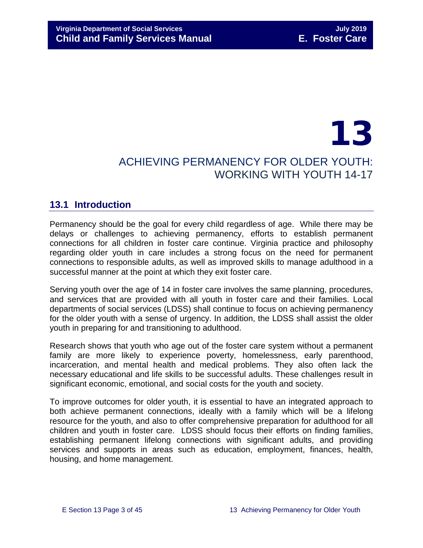# 13 ACHIEVING PERMANENCY FOR OLDER YOUTH: WORKING WITH YOUTH 14-17

# <span id="page-2-0"></span>**13.1 Introduction**

Permanency should be the goal for every child regardless of age. While there may be delays or challenges to achieving permanency, efforts to establish permanent connections for all children in foster care continue. Virginia practice and philosophy regarding older youth in care includes a strong focus on the need for permanent connections to responsible adults, as well as improved skills to manage adulthood in a successful manner at the point at which they exit foster care.

Serving youth over the age of 14 in foster care involves the same planning, procedures, and services that are provided with all youth in foster care and their families. Local departments of social services (LDSS) shall continue to focus on achieving permanency for the older youth with a sense of urgency. In addition, the LDSS shall assist the older youth in preparing for and transitioning to adulthood.

Research shows that youth who age out of the foster care system without a permanent family are more likely to experience poverty, homelessness, early parenthood, incarceration, and mental health and medical problems. They also often lack the necessary educational and life skills to be successful adults. These challenges result in significant economic, emotional, and social costs for the youth and society.

To improve outcomes for older youth, it is essential to have an integrated approach to both achieve permanent connections, ideally with a family which will be a lifelong resource for the youth, and also to offer comprehensive preparation for adulthood for all children and youth in foster care. LDSS should focus their efforts on finding families, establishing permanent lifelong connections with significant adults, and providing services and supports in areas such as education, employment, finances, health, housing, and home management.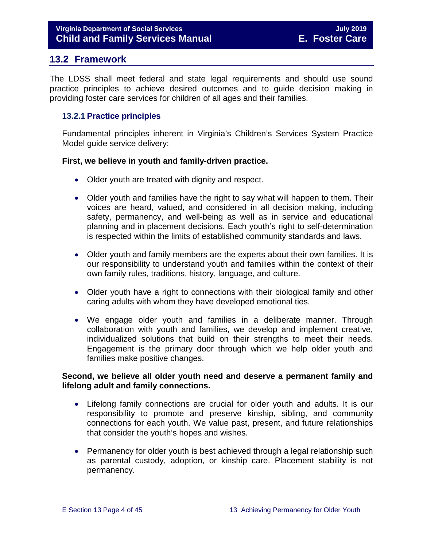# <span id="page-3-0"></span>**13.2 Framework**

The LDSS shall meet federal and state legal requirements and should use sound practice principles to achieve desired outcomes and to guide decision making in providing foster care services for children of all ages and their families.

#### <span id="page-3-1"></span>**13.2.1 Practice principles**

Fundamental principles inherent in Virginia's Children's Services System Practice Model guide service delivery:

#### **First, we believe in youth and family-driven practice.**

- Older youth are treated with dignity and respect.
- Older youth and families have the right to say what will happen to them. Their voices are heard, valued, and considered in all decision making, including safety, permanency, and well-being as well as in service and educational planning and in placement decisions. Each youth's right to self-determination is respected within the limits of established community standards and laws.
- Older youth and family members are the experts about their own families. It is our responsibility to understand youth and families within the context of their own family rules, traditions, history, language, and culture.
- Older youth have a right to connections with their biological family and other caring adults with whom they have developed emotional ties.
- We engage older youth and families in a deliberate manner. Through collaboration with youth and families, we develop and implement creative, individualized solutions that build on their strengths to meet their needs. Engagement is the primary door through which we help older youth and families make positive changes.

#### **Second, we believe all older youth need and deserve a permanent family and lifelong adult and family connections.**

- Lifelong family connections are crucial for older youth and adults. It is our responsibility to promote and preserve kinship, sibling, and community connections for each youth. We value past, present, and future relationships that consider the youth's hopes and wishes.
- Permanency for older youth is best achieved through a legal relationship such as parental custody, adoption, or kinship care. Placement stability is not permanency.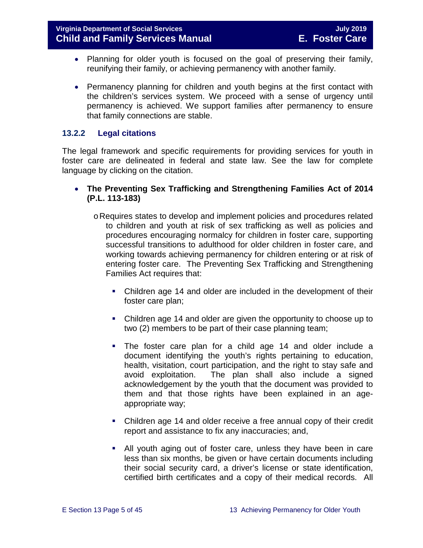- Planning for older youth is focused on the goal of preserving their family, reunifying their family, or achieving permanency with another family.
- Permanency planning for children and youth begins at the first contact with the children's services system. We proceed with a sense of urgency until permanency is achieved. We support families after permanency to ensure that family connections are stable.

#### <span id="page-4-0"></span>**13.2.2 Legal citations**

The legal framework and specific requirements for providing services for youth in foster care are delineated in federal and state law. See the law for complete language by clicking on the citation.

- **The Preventing Sex Trafficking and Strengthening Families Act of 2014 (P.L. 113-183)**
	- oRequires states to develop and implement policies and procedures related to children and youth at risk of sex trafficking as well as policies and procedures encouraging normalcy for children in foster care, supporting successful transitions to adulthood for older children in foster care, and working towards achieving permanency for children entering or at risk of entering foster care. The Preventing Sex Trafficking and Strengthening Families Act requires that:
		- Children age 14 and older are included in the development of their foster care plan;
		- Children age 14 and older are given the opportunity to choose up to two (2) members to be part of their case planning team;
		- The foster care plan for a child age 14 and older include a document identifying the youth's rights pertaining to education, health, visitation, court participation, and the right to stay safe and avoid exploitation. The plan shall also include a signed acknowledgement by the youth that the document was provided to them and that those rights have been explained in an ageappropriate way;
		- Children age 14 and older receive a free annual copy of their credit report and assistance to fix any inaccuracies; and,
		- All youth aging out of foster care, unless they have been in care less than six months, be given or have certain documents including their social security card, a driver's license or state identification, certified birth certificates and a copy of their medical records. All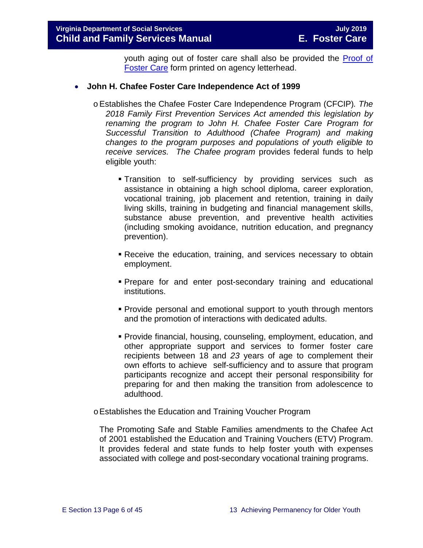youth aging out of foster care shall also be provided the [Proof of](https://fusion.dss.virginia.gov/dfs/DFS-Home/Foster-Care/Foster-Care-Forms)  [Foster Care](https://fusion.dss.virginia.gov/dfs/DFS-Home/Foster-Care/Foster-Care-Forms) form printed on agency letterhead.

#### • **John H. Chafee Foster Care Independence Act of 1999**

- oEstablishes the Chafee Foster Care Independence Program (CFCIP)*. The 2018 Family First Prevention Services Act amended this legislation by renaming the program to John H. Chafee Foster Care Program for Successful Transition to Adulthood (Chafee Program) and making changes to the program purposes and populations of youth eligible to receive services. The Chafee program* provides federal funds to help eligible youth:
	- Transition to self-sufficiency by providing services such as assistance in obtaining a high school diploma, career exploration, vocational training, job placement and retention, training in daily living skills, training in budgeting and financial management skills, substance abuse prevention, and preventive health activities (including smoking avoidance, nutrition education, and pregnancy prevention).
	- Receive the education, training, and services necessary to obtain employment.
	- Prepare for and enter post-secondary training and educational institutions.
	- Provide personal and emotional support to youth through mentors and the promotion of interactions with dedicated adults.
	- Provide financial, housing, counseling, employment, education, and other appropriate support and services to former foster care recipients between 18 and *23* years of age to complement their own efforts to achieve self-sufficiency and to assure that program participants recognize and accept their personal responsibility for preparing for and then making the transition from adolescence to adulthood.
- oEstablishes the Education and Training Voucher Program

The Promoting Safe and Stable Families amendments to the Chafee Act of 2001 established the Education and Training Vouchers (ETV) Program. It provides federal and state funds to help foster youth with expenses associated with college and post-secondary vocational training programs.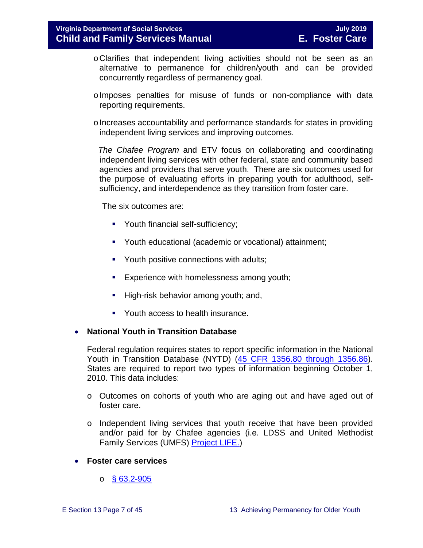- oClarifies that independent living activities should not be seen as an alternative to permanence for children/youth and can be provided concurrently regardless of permanency goal.
- oImposes penalties for misuse of funds or non-compliance with data reporting requirements.
- $\circ$  Increases accountability and performance standards for states in providing independent living services and improving outcomes.

 *The Chafee Program* and ETV focus on collaborating and coordinating independent living services with other federal, state and community based agencies and providers that serve youth. There are six outcomes used for the purpose of evaluating efforts in preparing youth for adulthood, selfsufficiency, and interdependence as they transition from foster care.

The six outcomes are:

- **Youth financial self-sufficiency;**
- Youth educational (academic or vocational) attainment;
- Youth positive connections with adults;
- **Experience with homelessness among youth;**
- High-risk behavior among youth; and,
- Youth access to health insurance.

#### • **National Youth in Transition Database**

Federal regulation requires states to report specific information in the National Youth in Transition Database (NYTD) [\(45 CFR 1356.80 through 1356.86\)](http://www.ecfr.gov/cgi-bin/retrieveECFR?gp=1&SID=3d9be8b33d08994a45cff8aaff9f9476&ty=HTML&h=L&mc=true&r=PART&n=pt45.4.1356). States are required to report two types of information beginning October 1, 2010. This data includes:

- o Outcomes on cohorts of youth who are aging out and have aged out of foster care.
- o Independent living services that youth receive that have been provided and/or paid for by Chafee agencies (i.e. LDSS and United Methodist Family Services (UMFS) [Project LIFE.](http://www.vaprojectlife.org/))
- **Foster care services** 
	- $\circ$  [§ 63.2-905](http://law.lis.virginia.gov/vacode/title63.2/chapter9/section63.2-905/)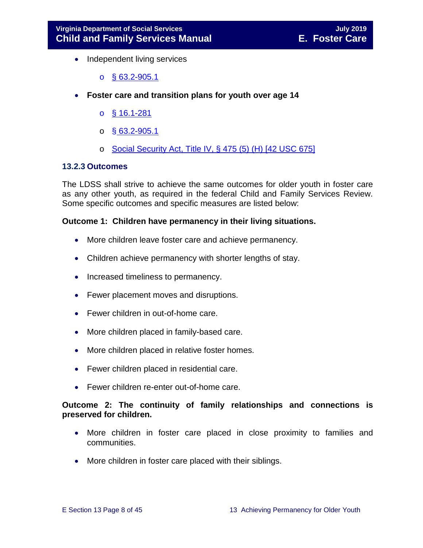- Independent living services
	- $\circ$  [§ 63.2-905.1](http://law.lis.virginia.gov/vacode/title63.2/chapter9/section63.2-905.1/)
- **Foster care and transition plans for youth over age 14** 
	- o [§ 16.1-281](http://law.lis.virginia.gov/vacode/title16.1/chapter11/section16.1-281/)
	- $\circ$  § [63.2-905.1](http://law.lis.virginia.gov/vacode/title63.2/chapter9/section63.2-905.1/)
	- $\circ$  [Social Security Act, Title IV, § 475 \(5\) \(H\) \[42 USC 675\]](http://www.ssa.gov/OP_Home/ssact/title04/0475.htm)

#### <span id="page-7-0"></span>**13.2.3 Outcomes**

The LDSS shall strive to achieve the same outcomes for older youth in foster care as any other youth, as required in the federal Child and Family Services Review. Some specific outcomes and specific measures are listed below:

#### **Outcome 1: Children have permanency in their living situations.**

- More children leave foster care and achieve permanency.
- Children achieve permanency with shorter lengths of stay.
- Increased timeliness to permanency.
- Fewer placement moves and disruptions.
- Fewer children in out-of-home care.
- More children placed in family-based care.
- More children placed in relative foster homes.
- Fewer children placed in residential care.
- Fewer children re-enter out-of-home care.

## **Outcome 2: The continuity of family relationships and connections is preserved for children.**

- More children in foster care placed in close proximity to families and communities.
- More children in foster care placed with their siblings.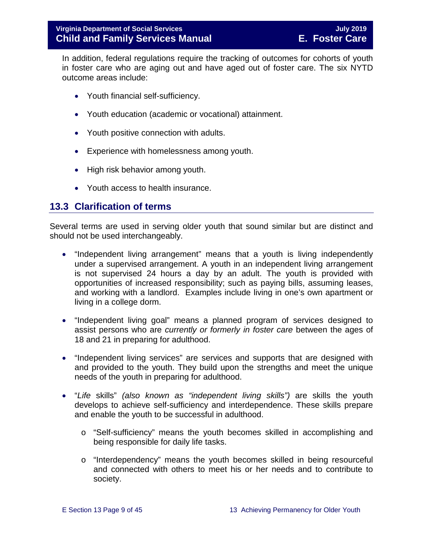In addition, federal regulations require the tracking of outcomes for cohorts of youth in foster care who are aging out and have aged out of foster care. The six NYTD outcome areas include:

- Youth financial self-sufficiency.
- Youth education (academic or vocational) attainment.
- Youth positive connection with adults.
- Experience with homelessness among youth.
- High risk behavior among youth.
- Youth access to health insurance.

# <span id="page-8-0"></span>**13.3 Clarification of terms**

Several terms are used in serving older youth that sound similar but are distinct and should not be used interchangeably.

- "Independent living arrangement" means that a youth is living independently under a supervised arrangement. A youth in an independent living arrangement is not supervised 24 hours a day by an adult. The youth is provided with opportunities of increased responsibility; such as paying bills, assuming leases, and working with a landlord. Examples include living in one's own apartment or living in a college dorm.
- "Independent living goal" means a planned program of services designed to assist persons who are *currently or formerly in foster care* between the ages of 18 and 21 in preparing for adulthood.
- "Independent living services" are services and supports that are designed with and provided to the youth. They build upon the strengths and meet the unique needs of the youth in preparing for adulthood.
- "*Life* skills" *(also known as "independent living skills")* are skills the youth develops to achieve self-sufficiency and interdependence. These skills prepare and enable the youth to be successful in adulthood.
	- o "Self-sufficiency" means the youth becomes skilled in accomplishing and being responsible for daily life tasks.
	- o "Interdependency" means the youth becomes skilled in being resourceful and connected with others to meet his or her needs and to contribute to society.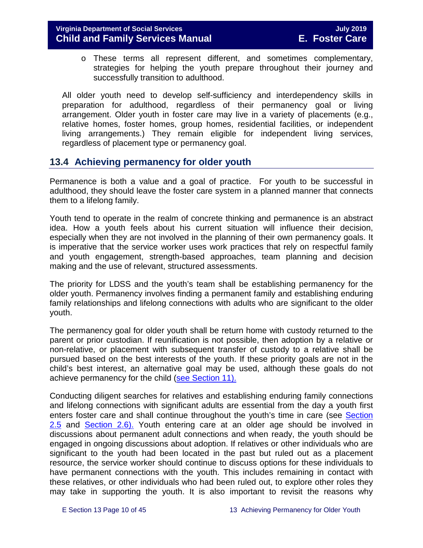o These terms all represent different, and sometimes complementary, strategies for helping the youth prepare throughout their journey and successfully transition to adulthood.

All older youth need to develop self-sufficiency and interdependency skills in preparation for adulthood, regardless of their permanency goal or living arrangement. Older youth in foster care may live in a variety of placements (e.g., relative homes, foster homes, group homes, residential facilities, or independent living arrangements.) They remain eligible for independent living services, regardless of placement type or permanency goal.

# <span id="page-9-0"></span>**13.4 Achieving permanency for older youth**

Permanence is both a value and a goal of practice. For youth to be successful in adulthood, they should leave the foster care system in a planned manner that connects them to a lifelong family.

Youth tend to operate in the realm of concrete thinking and permanence is an abstract idea. How a youth feels about his current situation will influence their decision, especially when they are not involved in the planning of their own permanency goals. It is imperative that the service worker uses work practices that rely on respectful family and youth engagement, strength-based approaches, team planning and decision making and the use of relevant, structured assessments.

The priority for LDSS and the youth's team shall be establishing permanency for the older youth. Permanency involves finding a permanent family and establishing enduring family relationships and lifelong connections with adults who are significant to the older youth.

The permanency goal for older youth shall be return home with custody returned to the parent or prior custodian. If reunification is not possible, then adoption by a relative or non-relative, or placement with subsequent transfer of custody to a relative shall be pursued based on the best interests of the youth. If these priority goals are not in the child's best interest, an alternative goal may be used, although these goals do not achieve permanency for the child [\(see Section 11\).](https://fusion.dss.virginia.gov/Portals/%5bdfs%5d/Files/DFS%20Manuals/Foster%20Care%20Manuals/Foster%20Care%20Manual%2007-2019/section_11_alternative_foster_care_goals.pdf)

Conducting diligent searches for relatives and establishing enduring family connections and lifelong connections with significant adults are essential from the day a youth first enters foster care and shall continue throughout the youth's time in care (see [Section](https://fusion.dss.virginia.gov/Portals/%5bdfs%5d/Files/DFS%20Manuals/Foster%20Care%20Manuals/Foster%20Care%20Manual%2007-2019/section_2_engaging_the_child_family_and_significant_adults.pdf#page=10) [2.5](https://fusion.dss.virginia.gov/Portals/%5bdfs%5d/Files/DFS%20Manuals/Foster%20Care%20Manuals/Foster%20Care%20Manual%2007-2019/section_2_engaging_the_child_family_and_significant_adults.pdf#page=10) and [Section](https://fusion.dss.virginia.gov/Portals/%5bdfs%5d/Files/DFS%20Manuals/Foster%20Care%20Manuals/Foster%20Care%20Manual%2007-2019/section_2_engaging_the_child_family_and_significant_adults.pdf#page=13) 2.6). Youth entering care at an older age should be involved in discussions about permanent adult connections and when ready, the youth should be engaged in ongoing discussions about adoption. If relatives or other individuals who are significant to the youth had been located in the past but ruled out as a placement resource, the service worker should continue to discuss options for these individuals to have permanent connections with the youth. This includes remaining in contact with these relatives, or other individuals who had been ruled out, to explore other roles they may take in supporting the youth. It is also important to revisit the reasons why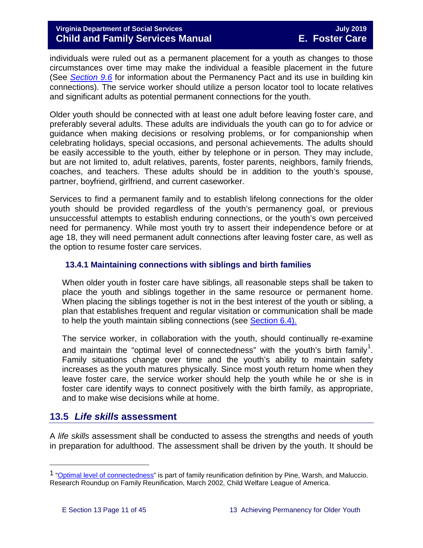individuals were ruled out as a permanent placement for a youth as changes to those circumstances over time may make the individual a feasible placement in the future (See *[Section 9.6](https://fusion.dss.virginia.gov/Portals/%5bdfs%5d/Files/DFS%20Manuals/Foster%20Care%20Manuals/Foster%20Care%20Manual%2007-2019/section_9_achieving_permanency_goal_adoption.pdf#page=22)* for information about the Permanency Pact and its use in building kin connections). The service worker should utilize a person locator tool to locate relatives and significant adults as potential permanent connections for the youth.

Older youth should be connected with at least one adult before leaving foster care, and preferably several adults. These adults are individuals the youth can go to for advice or guidance when making decisions or resolving problems, or for companionship when celebrating holidays, special occasions, and personal achievements. The adults should be easily accessible to the youth, either by telephone or in person. They may include, but are not limited to, adult relatives, parents, foster parents, neighbors, family friends, coaches, and teachers. These adults should be in addition to the youth's spouse, partner, boyfriend, girlfriend, and current caseworker.

Services to find a permanent family and to establish lifelong connections for the older youth should be provided regardless of the youth's permanency goal, or previous unsuccessful attempts to establish enduring connections, or the youth's own perceived need for permanency. While most youth try to assert their independence before or at age 18, they will need permanent adult connections after leaving foster care, as well as the option to resume foster care services.

## <span id="page-10-0"></span>**13.4.1 Maintaining connections with siblings and birth families**

When older youth in foster care have siblings, all reasonable steps shall be taken to place the youth and siblings together in the same resource or permanent home. When placing the siblings together is not in the best interest of the youth or sibling, a plan that establishes frequent and regular visitation or communication shall be made to help the youth maintain sibling connections (see [Section 6.4\).](https://fusion.dss.virginia.gov/Portals/%5bdfs%5d/Files/DFS%20Manuals/Foster%20Care%20Manuals/Foster%20Care%20Manual%2007-2019/section_6_placement_to_achieve_permanency.pdf#page=13)

The service worker, in collaboration with the youth, should continually re-examine and maintain the "optimal level of connectedness" with the youth's birth family<sup>[1](#page-10-2)</sup>. Family situations change over time and the youth's ability to maintain safety increases as the youth matures physically. Since most youth return home when they leave foster care, the service worker should help the youth while he or she is in foster care identify ways to connect positively with the birth family, as appropriate, and to make wise decisions while at home.

# <span id="page-10-1"></span>**13.5** *Life skills* **assessment**

A *life skills* assessment shall be conducted to assess the strengths and needs of youth in preparation for adulthood. The assessment shall be driven by the youth. It should be

Ĩ.

<span id="page-10-2"></span><sup>&</sup>lt;sup>1</sup> ["Optimal level of connectedness"](http://www.cwla.org/programs/r2p/rrnews0203.pdf) is part of family reunification definition by Pine, Warsh, and Maluccio. Research Roundup on Family Reunification, March 2002, Child Welfare League of America.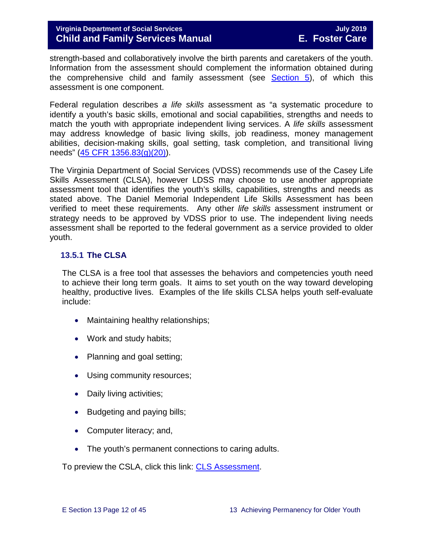strength-based and collaboratively involve the birth parents and caretakers of the youth. Information from the assessment should complement the information obtained during the comprehensive child and family assessment (see [Section 5\)](https://fusion.dss.virginia.gov/Portals/%5bdfs%5d/Files/DFS%20Manuals/Foster%20Care%20Manuals/Foster%20Care%20Manual%2007-2019/section_5_conducting_child_and_family_assessment.pdf), of which this assessment is one component.

Federal regulation describes *a life skills* assessment as "a systematic procedure to identify a youth's basic skills, emotional and social capabilities, strengths and needs to match the youth with appropriate independent living services. A *life skills* assessment may address knowledge of basic living skills, job readiness, money management abilities, decision-making skills, goal setting, task completion, and transitional living needs" [\(45 CFR 1356.83\(g\)\(20\)\)](https://www.law.cornell.edu/cfr/text/45/1356.83).

The Virginia Department of Social Services (VDSS) recommends use of the Casey Life Skills Assessment (CLSA), however LDSS may choose to use another appropriate assessment tool that identifies the youth's skills, capabilities, strengths and needs as stated above. The Daniel Memorial Independent Life Skills Assessment has been verified to meet these requirements. Any other *life skills* assessment instrument or strategy needs to be approved by VDSS prior to use. The independent living needs assessment shall be reported to the federal government as a service provided to older youth.

## <span id="page-11-0"></span>**13.5.1 The CLSA**

The CLSA is a free tool that assesses the behaviors and competencies youth need to achieve their long term goals. It aims to set youth on the way toward developing healthy, productive lives. Examples of the life skills CLSA helps youth self-evaluate include:

- Maintaining healthy relationships;
- Work and study habits;
- Planning and goal setting;
- Using community resources;
- Daily living activities;
- Budgeting and paying bills;
- Computer literacy; and,
- The youth's permanent connections to caring adults.

To preview the CSLA, click this link: [CLS Assessment.](http://lifeskills.casey.org/)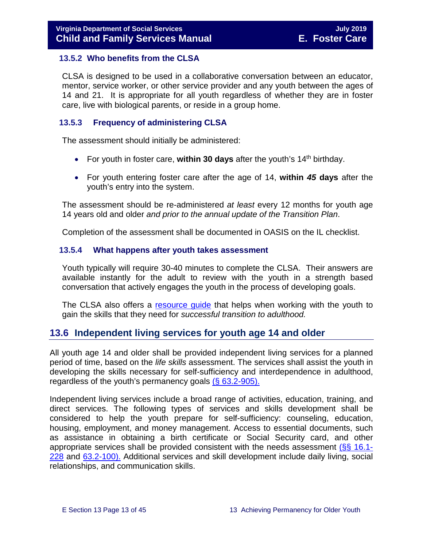#### <span id="page-12-0"></span>**13.5.2 Who benefits from the CLSA**

CLSA is designed to be used in a collaborative conversation between an educator, mentor, service worker, or other service provider and any youth between the ages of 14 and 21. It is appropriate for all youth regardless of whether they are in foster care, live with biological parents, or reside in a group home.

#### <span id="page-12-1"></span>**13.5.3 Frequency of administering CLSA**

The assessment should initially be administered:

- For youth in foster care, **within 30 days** after the youth's 14<sup>th</sup> birthday.
- For youth entering foster care after the age of 14, **within** *45* **days** after the youth's entry into the system.

The assessment should be re-administered *at least* every 12 months for youth age 14 years old and older *and prior to the annual update of the Transition Plan*.

Completion of the assessment shall be documented in OASIS on the IL checklist.

#### <span id="page-12-2"></span>**13.5.4 What happens after youth takes assessment**

Youth typically will require 30-40 minutes to complete the CLSA. Their answers are available instantly for the adult to review with the youth in a strength based conversation that actively engages the youth in the process of developing goals.

The CLSA also offers a resource quide that helps when working with the youth to gain the skills that they need for *successful transition to adulthood.*

# <span id="page-12-3"></span>**13.6 Independent living services for youth age 14 and older**

All youth age 14 and older shall be provided independent living services for a planned period of time, based on the *life skills* assessment. The services shall assist the youth in developing the skills necessary for self-sufficiency and interdependence in adulthood, regardless of the youth's permanency goals  $(§ 63.2-905)$ .

Independent living services include a broad range of activities, education, training, and direct services. The following types of services and skills development shall be considered to help the youth prepare for self-sufficiency: counseling, education, housing, employment, and money management. Access to essential documents, such as assistance in obtaining a birth certificate or Social Security card, and other appropriate services shall be provided consistent with the needs assessment [\(§§ 16.1-](http://law.lis.virginia.gov/vacode/16.1-228/) [228](http://law.lis.virginia.gov/vacode/16.1-228/) and [63.2-100\).](http://law.lis.virginia.gov/vacode/63.2-100/) Additional services and skill development include daily living, social relationships, and communication skills.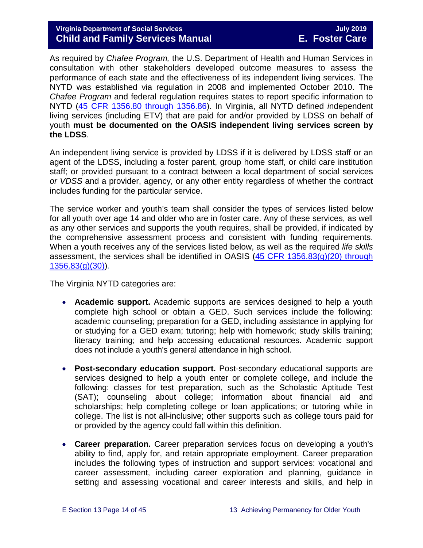## Virginia Department of Social Services<br> **Child and Family Services Manual Child and Family Services Manual Child and Family Services Manual Child and Family Services Manual**

As required by *Chafee Program,* the U.S. Department of Health and Human Services in consultation with other stakeholders developed outcome measures to assess the performance of each state and the effectiveness of its independent living services. The NYTD was established via regulation in 2008 and implemented October 2010. The *Chafee Program* and federal regulation requires states to report specific information to NYTD [\(45 CFR 1356.80 through 1356.86\)](https://www.law.cornell.edu/cfr/text/45/1356.80). In Virginia, all NYTD defined *i*ndependent living services (including ETV) that are paid for and/or provided by LDSS on behalf of youth **must be documented on the OASIS independent living services screen by the LDSS**.

An independent living service is provided by LDSS if it is delivered by LDSS staff or an agent of the LDSS, including a foster parent, group home staff, or child care institution staff; or provided pursuant to a contract between a local department of social services *or VDSS* and a provider, agency, or any other entity regardless of whether the contract includes funding for the particular service.

The service worker and youth's team shall consider the types of services listed below for all youth over age 14 and older who are in foster care. Any of these services, as well as any other services and supports the youth requires, shall be provided, if indicated by the comprehensive assessment process and consistent with funding requirements. When a youth receives any of the services listed below, as well as the required *life skills*  assessment, the services shall be identified in OASIS [\(45 CFR 1356.83\(g\)\(20\) through](https://www.law.cornell.edu/cfr/text/45/1356.83)   $1356.83(g)(30)$ .

The Virginia NYTD categories are:

- **Academic support.** Academic supports are services designed to help a youth complete high school or obtain a GED. Such services include the following: academic counseling; preparation for a GED, including assistance in applying for or studying for a GED exam; tutoring; help with homework; study skills training; literacy training; and help accessing educational resources. Academic support does not include a youth's general attendance in high school.
- **Post-secondary education support.** Post-secondary educational supports are services designed to help a youth enter or complete college, and include the following: classes for test preparation, such as the Scholastic Aptitude Test (SAT); counseling about college; information about financial aid and scholarships; help completing college or loan applications; or tutoring while in college. The list is not all-inclusive; other supports such as college tours paid for or provided by the agency could fall within this definition.
- **Career preparation.** Career preparation services focus on developing a youth's ability to find, apply for, and retain appropriate employment. Career preparation includes the following types of instruction and support services: vocational and career assessment, including career exploration and planning, guidance in setting and assessing vocational and career interests and skills, and help in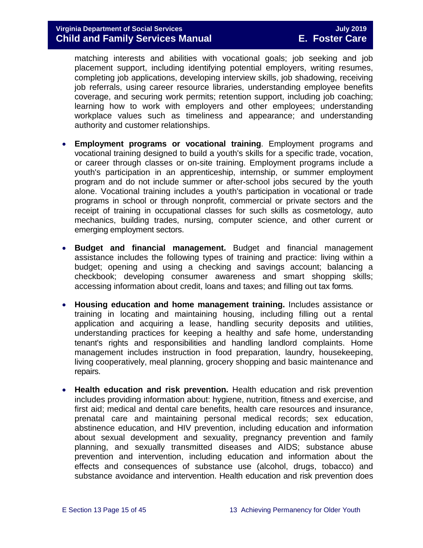matching interests and abilities with vocational goals; job seeking and job placement support, including identifying potential employers, writing resumes, completing job applications, developing interview skills, job shadowing, receiving job referrals, using career resource libraries, understanding employee benefits coverage, and securing work permits; retention support, including job coaching; learning how to work with employers and other employees; understanding workplace values such as timeliness and appearance; and understanding authority and customer relationships.

- **Employment programs or vocational training**. Employment programs and vocational training designed to build a youth's skills for a specific trade, vocation, or career through classes or on-site training. Employment programs include a youth's participation in an apprenticeship, internship, or summer employment program and do not include summer or after-school jobs secured by the youth alone. Vocational training includes a youth's participation in vocational or trade programs in school or through nonprofit, commercial or private sectors and the receipt of training in occupational classes for such skills as cosmetology, auto mechanics, building trades, nursing, computer science, and other current or emerging employment sectors.
- **Budget and financial management.** Budget and financial management assistance includes the following types of training and practice: living within a budget; opening and using a checking and savings account; balancing a checkbook; developing consumer awareness and smart shopping skills; accessing information about credit, loans and taxes; and filling out tax forms.
- **Housing education and home management training.** Includes assistance or training in locating and maintaining housing, including filling out a rental application and acquiring a lease, handling security deposits and utilities, understanding practices for keeping a healthy and safe home, understanding tenant's rights and responsibilities and handling landlord complaints. Home management includes instruction in food preparation, laundry, housekeeping, living cooperatively, meal planning, grocery shopping and basic maintenance and repairs.
- **Health education and risk prevention.** Health education and risk prevention includes providing information about: hygiene, nutrition, fitness and exercise, and first aid; medical and dental care benefits, health care resources and insurance, prenatal care and maintaining personal medical records; sex education, abstinence education, and HIV prevention, including education and information about sexual development and sexuality, pregnancy prevention and family planning, and sexually transmitted diseases and AIDS; substance abuse prevention and intervention, including education and information about the effects and consequences of substance use (alcohol, drugs, tobacco) and substance avoidance and intervention. Health education and risk prevention does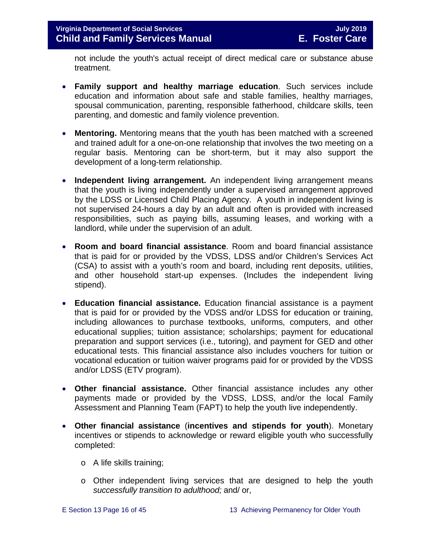not include the youth's actual receipt of direct medical care or substance abuse treatment.

- **Family support and healthy marriage education**. Such services include education and information about safe and stable families, healthy marriages, spousal communication, parenting, responsible fatherhood, childcare skills, teen parenting, and domestic and family violence prevention.
- **Mentoring.** Mentoring means that the youth has been matched with a screened and trained adult for a one-on-one relationship that involves the two meeting on a regular basis. Mentoring can be short-term, but it may also support the development of a long-term relationship.
- **Independent living arrangement.** An independent living arrangement means that the youth is living independently under a supervised arrangement approved by the LDSS or Licensed Child Placing Agency. A youth in independent living is not supervised 24-hours a day by an adult and often is provided with increased responsibilities, such as paying bills, assuming leases, and working with a landlord, while under the supervision of an adult.
- **Room and board financial assistance**. Room and board financial assistance that is paid for or provided by the VDSS, LDSS and/or Children's Services Act (CSA) to assist with a youth's room and board, including rent deposits, utilities, and other household start-up expenses. (Includes the independent living stipend).
- **Education financial assistance.** Education financial assistance is a payment that is paid for or provided by the VDSS and/or LDSS for education or training, including allowances to purchase textbooks, uniforms, computers, and other educational supplies; tuition assistance; scholarships; payment for educational preparation and support services (i.e., tutoring), and payment for GED and other educational tests. This financial assistance also includes vouchers for tuition or vocational education or tuition waiver programs paid for or provided by the VDSS and/or LDSS (ETV program).
- **Other financial assistance.** Other financial assistance includes any other payments made or provided by the VDSS, LDSS, and/or the local Family Assessment and Planning Team (FAPT) to help the youth live independently.
- **Other financial assistance** (**incentives and stipends for youth**). Monetary incentives or stipends to acknowledge or reward eligible youth who successfully completed:
	- o A life skills training;
	- o Other independent living services that are designed to help the youth *successfully transition to adulthood;* and/ or,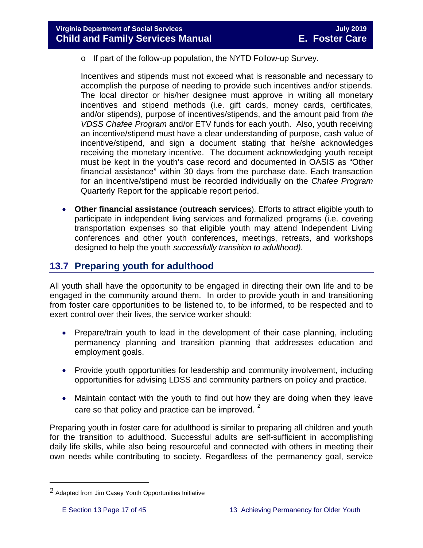o If part of the follow-up population, the NYTD Follow-up Survey.

Incentives and stipends must not exceed what is reasonable and necessary to accomplish the purpose of needing to provide such incentives and/or stipends. The local director or his/her designee must approve in writing all monetary incentives and stipend methods (i.e. gift cards, money cards, certificates, and/or stipends), purpose of incentives/stipends, and the amount paid from *the VDSS Chafee Program* and/or ETV funds for each youth. Also, youth receiving an incentive/stipend must have a clear understanding of purpose, cash value of incentive/stipend, and sign a document stating that he/she acknowledges receiving the monetary incentive. The document acknowledging youth receipt must be kept in the youth's case record and documented in OASIS as "Other financial assistance" within 30 days from the purchase date. Each transaction for an incentive/stipend must be recorded individually on the *Chafee Program*  Quarterly Report for the applicable report period.

• **Other financial assistance** (**outreach services**). Efforts to attract eligible youth to participate in independent living services and formalized programs (i.e. covering transportation expenses so that eligible youth may attend Independent Living conferences and other youth conferences, meetings, retreats, and workshops designed to help the youth *successfully transition to adulthood)*.

# <span id="page-16-0"></span>**13.7 Preparing youth for adulthood**

All youth shall have the opportunity to be engaged in directing their own life and to be engaged in the community around them. In order to provide youth in and transitioning from foster care opportunities to be listened to, to be informed, to be respected and to exert control over their lives, the service worker should:

- Prepare/train youth to lead in the development of their case planning, including permanency planning and transition planning that addresses education and employment goals.
- Provide youth opportunities for leadership and community involvement, including opportunities for advising LDSS and community partners on policy and practice.
- Maintain contact with the youth to find out how they are doing when they leave care so that policy and practice can be improved.  $2^2$  $2^2$

Preparing youth in foster care for adulthood is similar to preparing all children and youth for the transition to adulthood. Successful adults are self-sufficient in accomplishing daily life skills, while also being resourceful and connected with others in meeting their own needs while contributing to society. Regardless of the permanency goal, service

Ĩ.

<span id="page-16-1"></span><sup>2</sup> Adapted from Jim Casey Youth Opportunities Initiative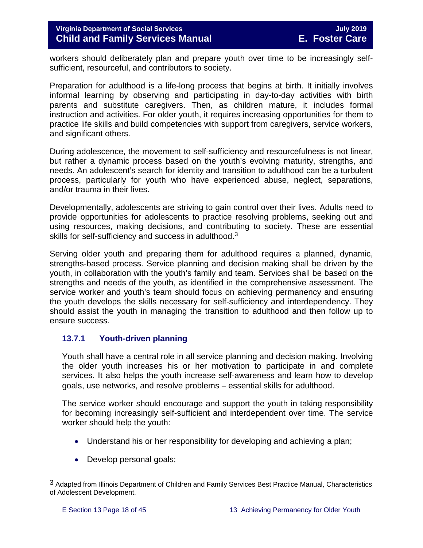workers should deliberately plan and prepare youth over time to be increasingly selfsufficient, resourceful, and contributors to society.

Preparation for adulthood is a life-long process that begins at birth. It initially involves informal learning by observing and participating in day-to-day activities with birth parents and substitute caregivers. Then, as children mature, it includes formal instruction and activities. For older youth, it requires increasing opportunities for them to practice life skills and build competencies with support from caregivers, service workers, and significant others.

During adolescence, the movement to self-sufficiency and resourcefulness is not linear, but rather a dynamic process based on the youth's evolving maturity, strengths, and needs. An adolescent's search for identity and transition to adulthood can be a turbulent process, particularly for youth who have experienced abuse, neglect, separations, and/or trauma in their lives.

Developmentally, adolescents are striving to gain control over their lives. Adults need to provide opportunities for adolescents to practice resolving problems, seeking out and using resources, making decisions, and contributing to society. These are essential skills for self-sufficiency and success in adulthood.<sup>[3](#page-17-1)</sup>

Serving older youth and preparing them for adulthood requires a planned, dynamic, strengths-based process. Service planning and decision making shall be driven by the youth, in collaboration with the youth's family and team. Services shall be based on the strengths and needs of the youth, as identified in the comprehensive assessment. The service worker and youth's team should focus on achieving permanency and ensuring the youth develops the skills necessary for self-sufficiency and interdependency. They should assist the youth in managing the transition to adulthood and then follow up to ensure success.

## <span id="page-17-0"></span>**13.7.1 Youth-driven planning**

Youth shall have a central role in all service planning and decision making. Involving the older youth increases his or her motivation to participate in and complete services. It also helps the youth increase self-awareness and learn how to develop goals, use networks, and resolve problems – essential skills for adulthood.

The service worker should encourage and support the youth in taking responsibility for becoming increasingly self-sufficient and interdependent over time. The service worker should help the youth:

- Understand his or her responsibility for developing and achieving a plan;
- Develop personal goals;

Ĩ.

<span id="page-17-1"></span><sup>3</sup> Adapted from Illinois Department of Children and Family Services Best Practice Manual, Characteristics of Adolescent Development.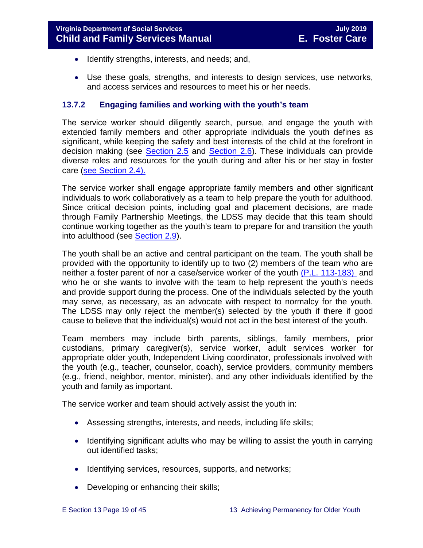- Identify strengths, interests, and needs; and,
- Use these goals, strengths, and interests to design services, use networks, and access services and resources to meet his or her needs.

#### <span id="page-18-0"></span>**13.7.2 Engaging families and working with the youth's team**

The service worker should diligently search, pursue, and engage the youth with extended family members and other appropriate individuals the youth defines as significant, while keeping the safety and best interests of the child at the forefront in decision making (see [Section](https://fusion.dss.virginia.gov/Portals/%5bdfs%5d/Files/DFS%20Manuals/Foster%20Care%20Manuals/Foster%20Care%20Manual%2007-2019/section_2_engaging_the_child_family_and_significant_adults.pdf#page=10) 2.5 and [Section](https://fusion.dss.virginia.gov/Portals/%5bdfs%5d/Files/DFS%20Manuals/Foster%20Care%20Manuals/Foster%20Care%20Manual%2007-2019/section_2_engaging_the_child_family_and_significant_adults.pdf#page=13) 2.6). These individuals can provide diverse roles and resources for the youth during and after his or her stay in foster care [\(see Section](https://fusion.dss.virginia.gov/Portals/%5bdfs%5d/Files/DFS%20Manuals/Foster%20Care%20Manuals/Foster%20Care%20Manual%2007-2019/section_2_engaging_the_child_family_and_significant_adults.pdf#page=8) 2.4).

The service worker shall engage appropriate family members and other significant individuals to work collaboratively as a team to help prepare the youth for adulthood. Since critical decision points, including goal and placement decisions, are made through Family Partnership Meetings, the LDSS may decide that this team should continue working together as the youth's team to prepare for and transition the youth into adulthood (see **Section 2.9**).

The youth shall be an active and central participant on the team. The youth shall be provided with the opportunity to identify up to two (2) members of the team who are neither a foster parent of nor a case/service worker of the youth [\(P.L. 113-183\)](https://www.congress.gov/113/plaws/publ183/PLAW-113publ183.pdf) and who he or she wants to involve with the team to help represent the youth's needs and provide support during the process. One of the individuals selected by the youth may serve, as necessary, as an advocate with respect to normalcy for the youth. The LDSS may only reject the member(s) selected by the youth if there if good cause to believe that the individual(s) would not act in the best interest of the youth.

Team members may include birth parents, siblings, family members, prior custodians, primary caregiver(s), service worker, adult services worker for appropriate older youth, Independent Living coordinator, professionals involved with the youth (e.g., teacher, counselor, coach), service providers, community members (e.g., friend, neighbor, mentor, minister), and any other individuals identified by the youth and family as important.

The service worker and team should actively assist the youth in:

- Assessing strengths, interests, and needs, including life skills;
- Identifying significant adults who may be willing to assist the youth in carrying out identified tasks;
- Identifying services, resources, supports, and networks;
- Developing or enhancing their skills;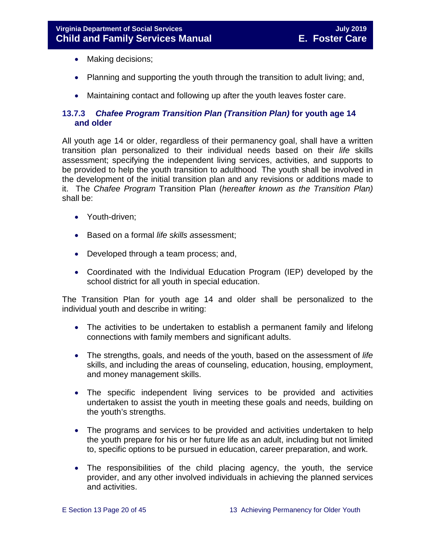- Making decisions;
- Planning and supporting the youth through the transition to adult living; and,
- <span id="page-19-0"></span>• Maintaining contact and following up after the youth leaves foster care.

## <span id="page-19-1"></span>**13.7.3** *Chafee Program Transition Plan (Transition Plan)* **for youth age 14 and older**

All youth age 14 or older, regardless of their permanency goal, shall have a written transition plan personalized to their individual needs based on their *life* skills assessment; specifying the independent living services, activities, and supports to be provided to help the youth transition to adulthood. The youth shall be involved in the development of the initial transition plan and any revisions or additions made to it. The *Chafee Program* Transition Plan (*hereafter known as the Transition Plan)* shall be:

- Youth-driven;
- Based on a formal *life skills a*ssessment;
- Developed through a team process; and,
- Coordinated with the Individual Education Program (IEP) developed by the school district for all youth in special education.

The Transition Plan for youth age 14 and older shall be personalized to the individual youth and describe in writing:

- The activities to be undertaken to establish a permanent family and lifelong connections with family members and significant adults.
- The strengths, goals, and needs of the youth, based on the assessment of *life*  skills, and including the areas of counseling, education, housing, employment, and money management skills.
- The specific independent living services to be provided and activities undertaken to assist the youth in meeting these goals and needs, building on the youth's strengths.
- The programs and services to be provided and activities undertaken to help the youth prepare for his or her future life as an adult, including but not limited to, specific options to be pursued in education, career preparation, and work.
- The responsibilities of the child placing agency, the youth, the service provider, and any other involved individuals in achieving the planned services and activities.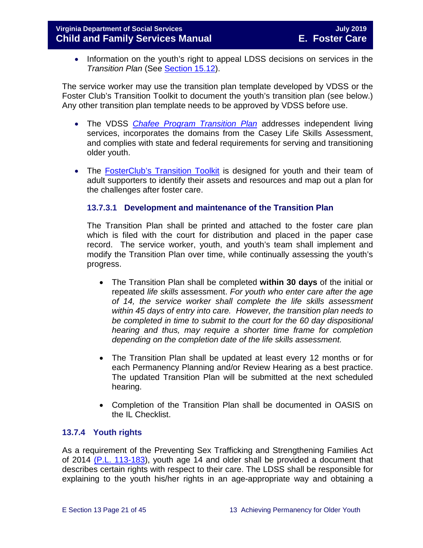• Information on the youth's right to appeal LDSS decisions on services in the *Transition Plan* (See [Section 15.12\)](https://fusion.dss.virginia.gov/Portals/%5bdfs%5d/Files/DFS%20Manuals/Foster%20Care%20Manuals/Foster%20Care%20Manual%2007-2019/section_15_developing_service_plan.pdf#page=17).

The service worker may use the transition plan template developed by VDSS or the Foster Club's Transition Toolkit to document the youth's transition plan (see below.) Any other transition plan template needs to be approved by VDSS before use.

- The VDSS *[Chafee](https://fusion.dss.virginia.gov/Portals/%5Bdfs%5D/Files/DFS%20FORMS/Foster%20Care%20Forms/Independent%20Living%20Transition%20Plan.pdf) Program Transition Plan* addresses independent living services, incorporates the domains from the Casey Life Skills Assessment, and complies with state and federal requirements for serving and transitioning older youth.
- The **FosterClub's Transition Toolkit** is designed for youth and their team of adult supporters to identify their assets and resources and map out a plan for the challenges after foster care.

## **13.7.3.1 Development and maintenance of the Transition Plan**

The Transition Plan shall be printed and attached to the foster care plan which is filed with the court for distribution and placed in the paper case record. The service worker, youth, and youth's team shall implement and modify the Transition Plan over time, while continually assessing the youth's progress.

- The Transition Plan shall be completed **within 30 days** of the initial or repeated *life skills* assessment. *For youth who enter care after the age of 14, the service worker shall complete the life skills assessment within 45 days of entry into care. However, the transition plan needs to be completed in time to submit to the court for the 60 day dispositional hearing and thus, may require a shorter time frame for completion depending on the completion date of the life skills assessment.*
- The Transition Plan shall be updated at least every 12 months or for each Permanency Planning and/or Review Hearing as a best practice. The updated Transition Plan will be submitted at the next scheduled hearing.
- Completion of the Transition Plan shall be documented in OASIS on the IL Checklist.

## <span id="page-20-0"></span>**13.7.4 Youth rights**

As a requirement of the Preventing Sex Trafficking and Strengthening Families Act of 2014 [\(P.L. 113-183\)](https://www.congress.gov/113/plaws/publ183/PLAW-113publ183.pdf), youth age 14 and older shall be provided a document that describes certain rights with respect to their care. The LDSS shall be responsible for explaining to the youth his/her rights in an age-appropriate way and obtaining a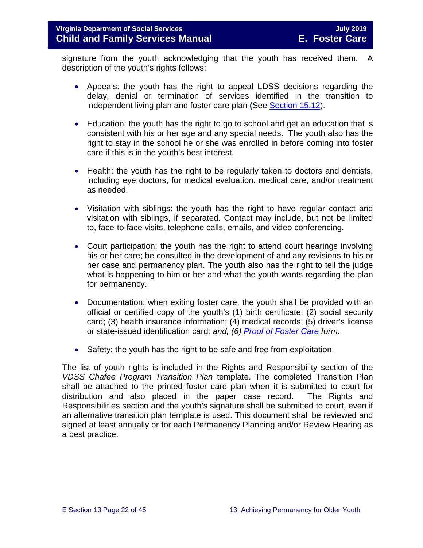signature from the youth acknowledging that the youth has received them. A description of the youth's rights follows:

- Appeals: the youth has the right to appeal LDSS decisions regarding the delay, denial or termination of services identified in the transition to independent living plan and foster care plan **(**See [Section 15.12\)](https://fusion.dss.virginia.gov/Portals/%5bdfs%5d/Files/DFS%20Manuals/Foster%20Care%20Manuals/Foster%20Care%20Manual%2007-2019/section_15_developing_service_plan.pdf#page=17).
- Education: the youth has the right to go to school and get an education that is consistent with his or her age and any special needs. The youth also has the right to stay in the school he or she was enrolled in before coming into foster care if this is in the youth's best interest.
- Health: the youth has the right to be regularly taken to doctors and dentists, including eye doctors, for medical evaluation, medical care, and/or treatment as needed.
- Visitation with siblings: the youth has the right to have regular contact and visitation with siblings, if separated. Contact may include, but not be limited to, face-to-face visits, telephone calls, emails, and video conferencing.
- Court participation: the youth has the right to attend court hearings involving his or her care; be consulted in the development of and any revisions to his or her case and permanency plan. The youth also has the right to tell the judge what is happening to him or her and what the youth wants regarding the plan for permanency.
- Documentation: when exiting foster care, the youth shall be provided with an official or certified copy of the youth's (1) birth certificate; (2) social security card; (3) health insurance information; (4) medical records; (5) driver's license or state-issued identification card*; and, (6) [Proof of Foster Care](https://fusion.dss.virginia.gov/dfs/DFS-Home/Foster-Care/Foster-Care-Forms) form.*
- Safety: the youth has the right to be safe and free from exploitation.

The list of youth rights is included in the Rights and Responsibility section of the *VDSS Chafee Program Transition Plan* template. The completed Transition Plan shall be attached to the printed foster care plan when it is submitted to court for distribution and also placed in the paper case record. The Rights and Responsibilities section and the youth's signature shall be submitted to court, even if an alternative transition plan template is used. This document shall be reviewed and signed at least annually or for each Permanency Planning and/or Review Hearing as a best practice.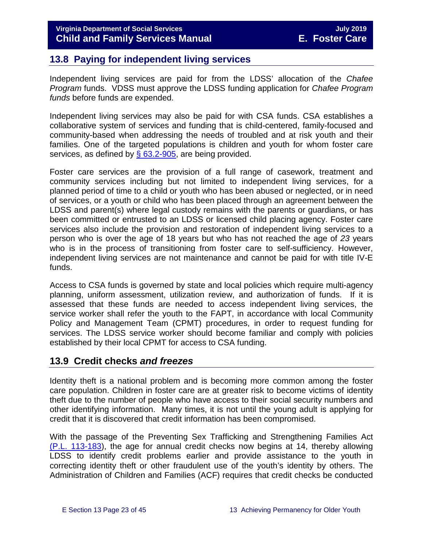# <span id="page-22-0"></span>**13.8 Paying for independent living services**

Independent living services are paid for from the LDSS' allocation of the *Chafee Program* funds. VDSS must approve the LDSS funding application for *Chafee Program funds* before funds are expended.

Independent living services may also be paid for with CSA funds. CSA establishes a collaborative system of services and funding that is child-centered, family-focused and community-based when addressing the needs of troubled and at risk youth and their families. One of the targeted populations is children and youth for whom foster care services, as defined by  $\S$  63.2-905, are being provided.

Foster care services are the provision of a full range of casework, treatment and community services including but not limited to independent living services, for a planned period of time to a child or youth who has been abused or neglected, or in need of services, or a youth or child who has been placed through an agreement between the LDSS and parent(s) where legal custody remains with the parents or guardians, or has been committed or entrusted to an LDSS or licensed child placing agency. Foster care services also include the provision and restoration of independent living services to a person who is over the age of 18 years but who has not reached the age of *23* years who is in the process of transitioning from foster care to self-sufficiency. However, independent living services are not maintenance and cannot be paid for with title IV-E funds.

Access to CSA funds is governed by state and local policies which require multi-agency planning, uniform assessment, utilization review, and authorization of funds. If it is assessed that these funds are needed to access independent living services, the service worker shall refer the youth to the FAPT, in accordance with local Community Policy and Management Team (CPMT) procedures, in order to request funding for services. The LDSS service worker should become familiar and comply with policies established by their local CPMT for access to CSA funding.

# <span id="page-22-1"></span>**13.9 Credit checks** *and freezes*

Identity theft is a national problem and is becoming more common among the foster care population. Children in foster care are at greater risk to become victims of identity theft due to the number of people who have access to their social security numbers and other identifying information. Many times, it is not until the young adult is applying for credit that it is discovered that credit information has been compromised.

With the passage of the Preventing Sex Trafficking and Strengthening Families Act [\(P.L. 113-183\)](https://www.congress.gov/113/plaws/publ183/PLAW-113publ183.pdf), the age for annual credit checks now begins at 14, thereby allowing LDSS to identify credit problems earlier and provide assistance to the youth in correcting identity theft or other fraudulent use of the youth's identity by others. The Administration of Children and Families (ACF) requires that credit checks be conducted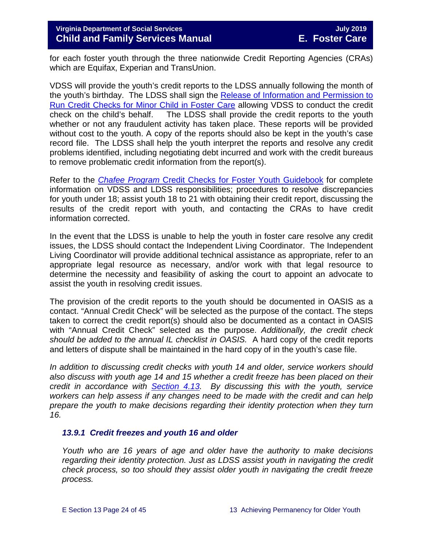for each foster youth through the three nationwide Credit Reporting Agencies (CRAs) which are Equifax, Experian and TransUnion.

VDSS will provide the youth's credit reports to the LDSS annually following the month of the youth's birthday. The LDSS shall sign the [Release of Information and Permission to](http://spark.dss.virginia.gov/divisions/dfs/fc/ilp.cgi)  [Run Credit Checks for Minor Child in Foster Care](http://spark.dss.virginia.gov/divisions/dfs/fc/ilp.cgi) allowing VDSS to conduct the credit check on the child's behalf. The LDSS shall provide the credit reports to the youth whether or not any fraudulent activity has taken place. These reports will be provided without cost to the youth. A copy of the reports should also be kept in the youth's case record file. The LDSS shall help the youth interpret the reports and resolve any credit problems identified, including negotiating debt incurred and work with the credit bureaus to remove problematic credit information from the report(s).

Refer to the *Chafee Program* [Credit Checks for Foster](https://fusion.dss.virginia.gov/Portals/%5Bdfs%5D/Files/Foster%20Care/Job%20Aids%20%26%20Resources/Credit_Checks_Guidebook_.pdf) Youth Guidebook for complete information on VDSS and LDSS responsibilities; procedures to resolve discrepancies for youth under 18; assist youth 18 to 21 with obtaining their credit report, discussing the results of the credit report with youth, and contacting the CRAs to have credit information corrected.

In the event that the LDSS is unable to help the youth in foster care resolve any credit issues, the LDSS should contact the Independent Living Coordinator. The Independent Living Coordinator will provide additional technical assistance as appropriate, refer to an appropriate legal resource as necessary, and/or work with that legal resource to determine the necessity and feasibility of asking the court to appoint an advocate to assist the youth in resolving credit issues.

The provision of the credit reports to the youth should be documented in OASIS as a contact. "Annual Credit Check" will be selected as the purpose of the contact. The steps taken to correct the credit report(s) should also be documented as a contact in OASIS with "Annual Credit Check" selected as the purpose. *Additionally, the credit check should be added to the annual IL checklist in OASIS.* A hard copy of the credit reports and letters of dispute shall be maintained in the hard copy of in the youth's case file.

*In addition to discussing credit checks with youth 14 and older, service workers should also discuss with youth age 14 and 15 whether a credit freeze has been placed on their credit in accordance with [Section 4.13.](https://fusion.dss.virginia.gov/Portals/%5bdfs%5d/Files/DFS%20Manuals/Foster%20Care%20Manuals/Foster%20Care%20Manual%2007-2019/section_4_opening_and_maintaining_case.pdf#page=27) By discussing this with the youth, service workers can help assess if any changes need to be made with the credit and can help prepare the youth to make decisions regarding their identity protection when they turn 16.* 

## <span id="page-23-0"></span>*13.9.1 Credit freezes and youth 16 and older*

*Youth who are 16 years of age and older have the authority to make decisions regarding their identity protection. Just as LDSS assist youth in navigating the credit check process, so too should they assist older youth in navigating the credit freeze process.*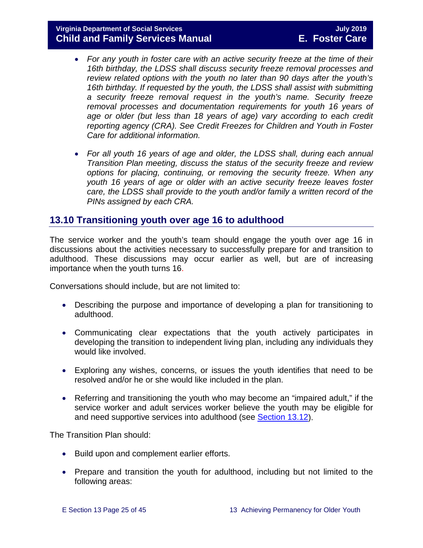## **Virginia Department of Social Services July 2019 Child and Family Services Manual**

- *For any youth in foster care with an active security freeze at the time of their 16th birthday, the LDSS shall discuss security freeze removal processes and review related options with the youth no later than 90 days after the youth's 16th birthday. If requested by the youth, the LDSS shall assist with submitting a security freeze removal request in the youth's name. Security freeze removal processes and documentation requirements for youth 16 years of*  age or older (but less than 18 years of age) vary according to each credit *reporting agency (CRA). See Credit Freezes for Children and Youth in Foster Care for additional information.*
- *For all youth 16 years of age and older, the LDSS shall, during each annual Transition Plan meeting, discuss the status of the security freeze and review options for placing, continuing, or removing the security freeze. When any youth 16 years of age or older with an active security freeze leaves foster care, the LDSS shall provide to the youth and/or family a written record of the PINs assigned by each CRA.*

# <span id="page-24-0"></span>**13.10 Transitioning youth over age 16 to adulthood**

The service worker and the youth's team should engage the youth over age 16 in discussions about the activities necessary to successfully prepare for and transition to adulthood. These discussions may occur earlier as well, but are of increasing importance when the youth turns 16.

Conversations should include, but are not limited to:

- Describing the purpose and importance of developing a plan for transitioning to adulthood.
- Communicating clear expectations that the youth actively participates in developing the transition to independent living plan, including any individuals they would like involved.
- Exploring any wishes, concerns, or issues the youth identifies that need to be resolved and/or he or she would like included in the plan.
- Referring and transitioning the youth who may become an "impaired adult," if the service worker and adult services worker believe the youth may be eligible for and need supportive services into adulthood (see [Section 13.12\)](#page-30-1).

The Transition Plan should:

- Build upon and complement earlier efforts.
- Prepare and transition the youth for adulthood, including but not limited to the following areas: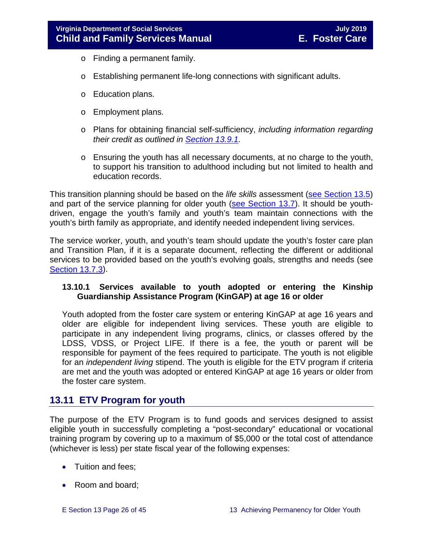- o Finding a permanent family.
- o Establishing permanent life-long connections with significant adults.
- o Education plans.
- o Employment plans.
- o Plans for obtaining financial self-sufficiency, *including information regarding their credit as outlined in [Section 13.9.1.](#page-23-0)*
- o Ensuring the youth has all necessary documents, at no charge to the youth, to support his transition to adulthood including but not limited to health and education records.

This transition planning should be based on the *life skills* assessment (see [Section 13.5\)](#page-10-1) and part of the service planning for older youth [\(see Section 13.7\)](#page-16-0). It should be youthdriven, engage the youth's family and youth's team maintain connections with the youth's birth family as appropriate, and identify needed independent living services.

The service worker, youth, and youth's team should update the youth's foster care plan and Transition Plan, if it is a separate document, reflecting the different or additional services to be provided based on the youth's evolving goals, strengths and needs (see [Section 13.7.3\)](#page-19-1).

#### **13.10.1 Services available to youth adopted or entering the Kinship Guardianship Assistance Program (KinGAP) at age 16 or older**

Youth adopted from the foster care system or entering KinGAP at age 16 years and older are eligible for independent living services. These youth are eligible to participate in any independent living programs, clinics, or classes offered by the LDSS, VDSS, or Project LIFE. If there is a fee, the youth or parent will be responsible for payment of the fees required to participate. The youth is not eligible for an *independent living* stipend. The youth is eligible for the ETV program if criteria are met and the youth was adopted or entered KinGAP at age 16 years or older from the foster care system.

# <span id="page-25-0"></span>**13.11 ETV Program for youth**

The purpose of the ETV Program is to fund goods and services designed to assist eligible youth in successfully completing a "post-secondary" educational or vocational training program by covering up to a maximum of \$5,000 or the total cost of attendance (whichever is less) per state fiscal year of the following expenses:

- Tuition and fees;
- Room and board;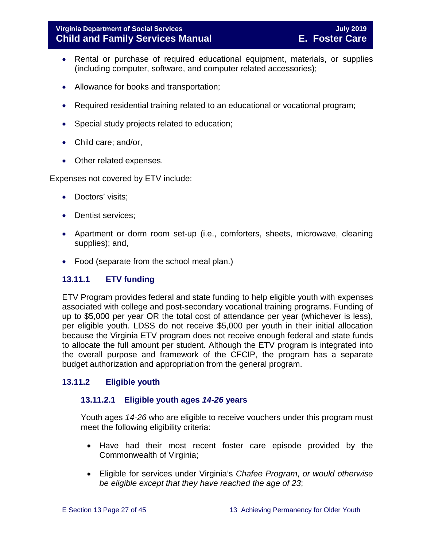## **Virginia Department of Social Services July 2019 Child and Family Services Manual**

- Rental or purchase of required educational equipment, materials, or supplies (including computer, software, and computer related accessories);
- Allowance for books and transportation;
- Required residential training related to an educational or vocational program;
- Special study projects related to education;
- Child care; and/or,
- Other related expenses.

Expenses not covered by ETV include:

- Doctors' visits;
- Dentist services:
- Apartment or dorm room set-up (i.e., comforters, sheets, microwave, cleaning supplies); and,
- Food (separate from the school meal plan.)

## <span id="page-26-0"></span>**13.11.1 ETV funding**

ETV Program provides federal and state funding to help eligible youth with expenses associated with college and post-secondary vocational training programs. Funding of up to \$5,000 per year OR the total cost of attendance per year (whichever is less), per eligible youth. LDSS do not receive \$5,000 per youth in their initial allocation because the Virginia ETV program does not receive enough federal and state funds to allocate the full amount per student. Although the ETV program is integrated into the overall purpose and framework of the CFCIP, the program has a separate budget authorization and appropriation from the general program.

## <span id="page-26-1"></span>**13.11.2 Eligible youth**

## **13.11.2.1 Eligible youth ages** *14***-***26* **years**

Youth ages *14-26* who are eligible to receive vouchers under this program must meet the following eligibility criteria:

- Have had their most recent foster care episode provided by the Commonwealth of Virginia;
- Eligible for services under Virginia's *Chafee Program*, *or would otherwise be eligible except that they have reached the age of 23*;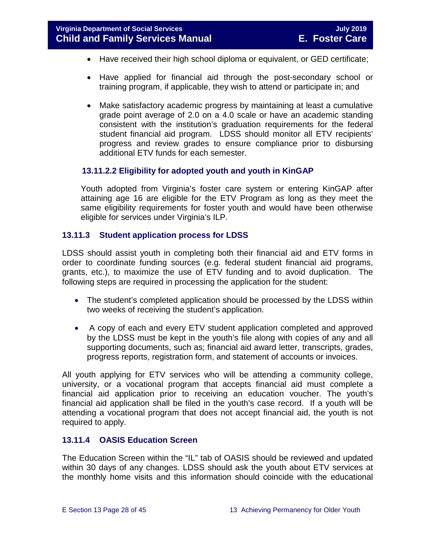- Have received their high school diploma or equivalent, or GED certificate;
- Have applied for financial aid through the post-secondary school or training program, if applicable, they wish to attend or participate in; and
- Make satisfactory academic progress by maintaining at least a cumulative grade point average of 2.0 on a 4.0 scale or have an academic standing consistent with the institution's graduation requirements for the federal student financial aid program. LDSS should monitor all ETV recipients' progress and review grades to ensure compliance prior to disbursing additional ETV funds for each semester.

## **13.11.2.2 Eligibility for adopted youth and youth in KinGAP**

Youth adopted from Virginia's foster care system or entering KinGAP after attaining age 16 are eligible for the ETV Program as long as they meet the same eligibility requirements for foster youth and would have been otherwise eligible for services under Virginia's ILP.

#### <span id="page-27-0"></span>**13.11.3 Student application process for LDSS**

LDSS should assist youth in completing both their financial aid and ETV forms in order to coordinate funding sources (e.g. federal student financial aid programs, grants, etc.), to maximize the use of ETV funding and to avoid duplication. The following steps are required in processing the application for the student:

- The student's completed application should be processed by the LDSS within two weeks of receiving the student's application.
- A copy of each and every ETV student application completed and approved by the LDSS must be kept in the youth's file along with copies of any and all supporting documents, such as; financial aid award letter, transcripts, grades, progress reports, registration form, and statement of accounts or invoices.

All youth applying for ETV services who will be attending a community college, university, or a vocational program that accepts financial aid must complete a financial aid application prior to receiving an education voucher. The youth's financial aid application shall be filed in the youth's case record. If a youth will be attending a vocational program that does not accept financial aid, the youth is not required to apply.

#### <span id="page-27-1"></span>**13.11.4 OASIS Education Screen**

The Education Screen within the "IL" tab of OASIS should be reviewed and updated within 30 days of any changes. LDSS should ask the youth about ETV services at the monthly home visits and this information should coincide with the educational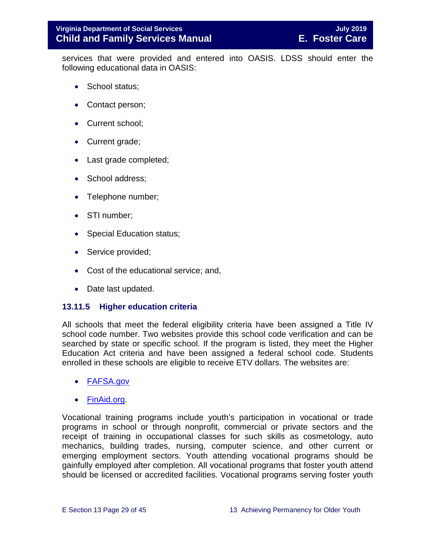services that were provided and entered into OASIS. LDSS should enter the following educational data in OASIS:

- School status;
- Contact person;
- Current school;
- Current grade;
- Last grade completed;
- School address:
- Telephone number;
- STI number;
- Special Education status;
- Service provided;
- Cost of the educational service; and,
- Date last updated.

#### <span id="page-28-0"></span>**13.11.5 Higher education criteria**

All schools that meet the federal eligibility criteria have been assigned a Title IV school code number. Two websites provide this school code verification and can be searched by state or specific school. If the program is listed, they meet the Higher Education Act criteria and have been assigned a federal school code. Students enrolled in these schools are eligible to receive ETV dollars. The websites are:

- [FAFSA.gov](https://fafsa.ed.gov/FAFSA/app/schoolSearch?locale=en_EN)
- [FinAid.org.](http://www.finaid.org/)

Vocational training programs include youth's participation in vocational or trade programs in school or through nonprofit, commercial or private sectors and the receipt of training in occupational classes for such skills as cosmetology, auto mechanics, building trades, nursing, computer science, and other current or emerging employment sectors. Youth attending vocational programs should be gainfully employed after completion. All vocational programs that foster youth attend should be licensed or accredited facilities. Vocational programs serving foster youth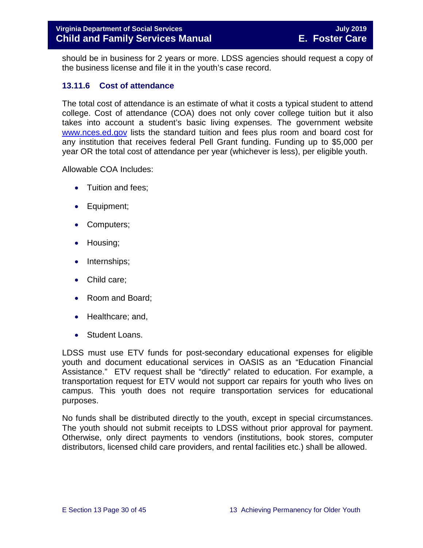should be in business for 2 years or more. LDSS agencies should request a copy of the business license and file it in the youth's case record.

## <span id="page-29-0"></span>**13.11.6 Cost of attendance**

The total cost of attendance is an estimate of what it costs a typical student to attend college. Cost of attendance (COA) does not only cover college tuition but it also takes into account a student's basic living expenses. The government website [www.nces.ed.gov](http://nces.ed.gov/) lists the standard tuition and fees plus room and board cost for any institution that receives federal Pell Grant funding. Funding up to \$5,000 per year OR the total cost of attendance per year (whichever is less), per eligible youth.

Allowable COA Includes:

- Tuition and fees:
- Equipment;
- Computers;
- Housing;
- Internships;
- Child care;
- Room and Board;
- Healthcare; and,
- Student Loans.

LDSS must use ETV funds for post-secondary educational expenses for eligible youth and document educational services in OASIS as an "Education Financial Assistance." ETV request shall be "directly" related to education. For example, a transportation request for ETV would not support car repairs for youth who lives on campus. This youth does not require transportation services for educational purposes.

No funds shall be distributed directly to the youth, except in special circumstances. The youth should not submit receipts to LDSS without prior approval for payment. Otherwise, only direct payments to vendors (institutions, book stores, computer distributors, licensed child care providers, and rental facilities etc.) shall be allowed.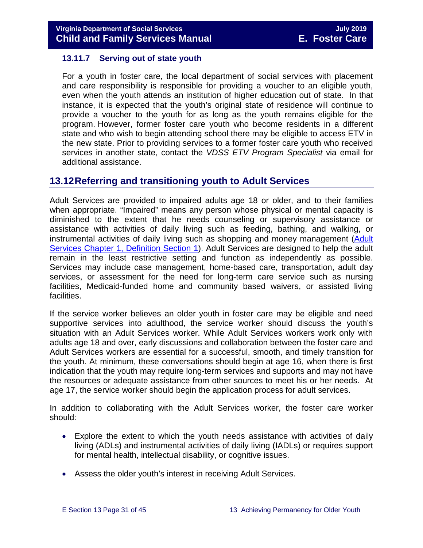#### <span id="page-30-0"></span>**13.11.7 Serving out of state youth**

For a youth in foster care, the local department of social services with placement and care responsibility is responsible for providing a voucher to an eligible youth, even when the youth attends an institution of higher education out of state. In that instance, it is expected that the youth's original state of residence will continue to provide a voucher to the youth for as long as the youth remains eligible for the program. However, former foster care youth who become residents in a different state and who wish to begin attending school there may be eligible to access ETV in the new state. Prior to providing services to a former foster care youth who received services in another state, contact the *VDSS ETV Program Specialist* via email for additional assistance.

# <span id="page-30-1"></span>**13.12Referring and transitioning youth to Adult Services**

Adult Services are provided to impaired adults age 18 or older, and to their families when appropriate. "Impaired" means any person whose physical or mental capacity is diminished to the extent that he needs counseling or supervisory assistance or assistance with activities of daily living such as feeding, bathing, and walking, or instrumental activities of daily living such as shopping and money management [\(Adult](http://www.dss.virginia.gov/files/division/dfs/as/as_intro_page/manuals/as/chapter_1_introduction_2016.pdf)  [Services Chapter 1, Definition Section 1\)](http://www.dss.virginia.gov/files/division/dfs/as/as_intro_page/manuals/as/chapter_1_introduction_2016.pdf). Adult Services are designed to help the adult remain in the least restrictive setting and function as independently as possible. Services may include case management, home-based care, transportation, adult day services, or assessment for the need for long-term care service such as nursing facilities, Medicaid-funded home and community based waivers, or assisted living facilities.

If the service worker believes an older youth in foster care may be eligible and need supportive services into adulthood, the service worker should discuss the youth's situation with an Adult Services worker. While Adult Services workers work only with adults age 18 and over, early discussions and collaboration between the foster care and Adult Services workers are essential for a successful, smooth, and timely transition for the youth. At minimum, these conversations should begin at age 16, when there is first indication that the youth may require long-term services and supports and may not have the resources or adequate assistance from other sources to meet his or her needs. At age 17, the service worker should begin the application process for adult services.

In addition to collaborating with the Adult Services worker, the foster care worker should:

- Explore the extent to which the youth needs assistance with activities of daily living (ADLs) and instrumental activities of daily living (IADLs) or requires support for mental health, intellectual disability, or cognitive issues.
- Assess the older youth's interest in receiving Adult Services.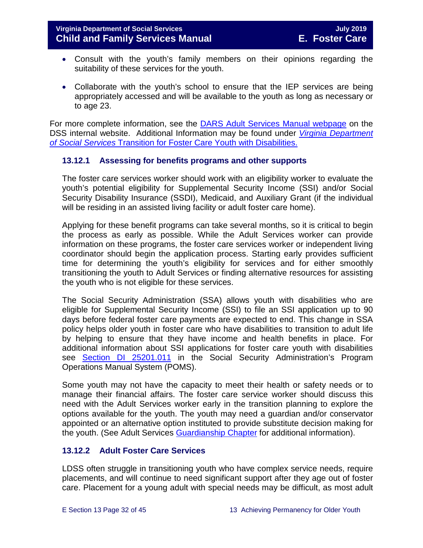- Consult with the youth's family members on their opinions regarding the suitability of these services for the youth.
- Collaborate with the youth's school to ensure that the IEP services are being appropriately accessed and will be available to the youth as long as necessary or to age 23.

For more complete information, see the [DARS Adult Services Manual webpage](https://fusion.dss.virginia.gov/dars/DARS-Home/ADULT-SERVICES/Adult-Services-Manuals) on the DSS internal website. Additional Information may be found under *[Virginia Department](http://spark.dss.virginia.gov/divisions/dfs/fc/files/guidance_procedures_faq/guidance_procedures/tranistion_plan_disabilities.pdf)  of Social Services* Transition for Foster Care [Youth with Disabilities.](http://spark.dss.virginia.gov/divisions/dfs/fc/files/guidance_procedures_faq/guidance_procedures/tranistion_plan_disabilities.pdf)

## <span id="page-31-0"></span>**13.12.1 Assessing for benefits programs and other supports**

The foster care services worker should work with an eligibility worker to evaluate the youth's potential eligibility for Supplemental Security Income (SSI) and/or Social Security Disability Insurance (SSDI), Medicaid, and Auxiliary Grant (if the individual will be residing in an assisted living facility or adult foster care home).

Applying for these benefit programs can take several months, so it is critical to begin the process as early as possible. While the Adult Services worker can provide information on these programs, the foster care services worker or independent living coordinator should begin the application process. Starting early provides sufficient time for determining the youth's eligibility for services and for either smoothly transitioning the youth to Adult Services or finding alternative resources for assisting the youth who is not eligible for these services.

The Social Security Administration (SSA) allows youth with disabilities who are eligible for Supplemental Security Income (SSI) to file an SSI application up to 90 days before federal foster care payments are expected to end. This change in SSA policy helps older youth in foster care who have disabilities to transition to adult life by helping to ensure that they have income and health benefits in place. For additional information about SSI applications for foster care youth with disabilities see [Section DI 25201.011](https://secure.ssa.gov/apps10/poms.nsf/subchapterlist!openview&restricttocategory=04252) in the Social Security Administration's Program Operations Manual System (POMS).

Some youth may not have the capacity to meet their health or safety needs or to manage their financial affairs. The foster care service worker should discuss this need with the Adult Services worker early in the transition planning to explore the options available for the youth. The youth may need a guardian and/or conservator appointed or an alternative option instituted to provide substitute decision making for the youth. (See Adult Services [Guardianship Chapter](https://fusion.dss.virginia.gov/Portals/%5Bdars%5D/Files/Chapter%207-Guardianship.pdf) for additional information).

# <span id="page-31-1"></span>**13.12.2 Adult Foster Care Services**

LDSS often struggle in transitioning youth who have complex service needs, require placements, and will continue to need significant support after they age out of foster care. Placement for a young adult with special needs may be difficult, as most adult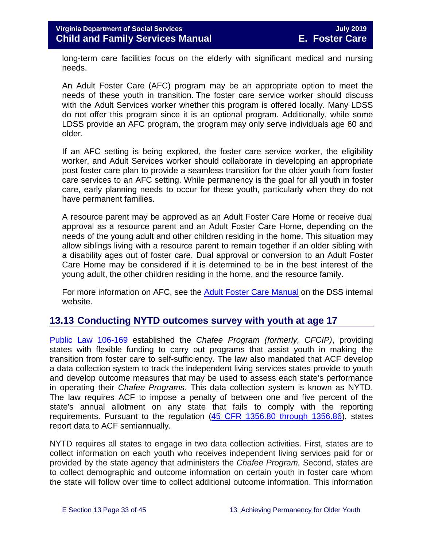long-term care facilities focus on the elderly with significant medical and nursing needs.

An Adult Foster Care (AFC) program may be an appropriate option to meet the needs of these youth in transition. The foster care service worker should discuss with the Adult Services worker whether this program is offered locally. Many LDSS do not offer this program since it is an optional program. Additionally, while some LDSS provide an AFC program, the program may only serve individuals age 60 and older.

If an AFC setting is being explored, the foster care service worker, the eligibility worker, and Adult Services worker should collaborate in developing an appropriate post foster care plan to provide a seamless transition for the older youth from foster care services to an AFC setting. While permanency is the goal for all youth in foster care, early planning needs to occur for these youth, particularly when they do not have permanent families.

A resource parent may be approved as an Adult Foster Care Home or receive dual approval as a resource parent and an Adult Foster Care Home, depending on the needs of the young adult and other children residing in the home. This situation may allow siblings living with a resource parent to remain together if an older sibling with a disability ages out of foster care. Dual approval or conversion to an Adult Foster Care Home may be considered if it is determined to be in the best interest of the young adult, the other children residing in the home, and the resource family.

For more information on AFC, see the [Adult Foster Care Manual](https://fusion.dss.virginia.gov/Portals/%5Bdars%5D/Files/Chapter%204-Long-term%20Care%20Services.pdf#page=13) on the DSS internal website.

# <span id="page-32-0"></span>**13.13 Conducting NYTD outcomes survey with youth at age 17**

[Public Law 106-169](https://www.gpo.gov/fdsys/pkg/PLAW-106publ169/pdf/PLAW-106publ169.pdf) established the *Chafee Program (formerly, CFCIP)*, providing states with flexible funding to carry out programs that assist youth in making the transition from foster care to self-sufficiency. The law also mandated that ACF develop a data collection system to track the independent living services states provide to youth and develop outcome measures that may be used to assess each state's performance in operating their *Chafee Programs.* This data collection system is known as NYTD. The law requires ACF to impose a penalty of between one and five percent of the state's annual allotment on any state that fails to comply with the reporting requirements. Pursuant to the regulation [\(45 CFR 1356.80 through 1356.86\)](http://www.ecfr.gov/cgi-bin/retrieveECFR?gp=1&SID=3d9be8b33d08994a45cff8aaff9f9476&ty=HTML&h=L&mc=true&r=PART&n=pt45.4.1356), states report data to ACF semiannually.

NYTD requires all states to engage in two data collection activities. First, states are to collect information on each youth who receives independent living services paid for or provided by the state agency that administers the *Chafee Program.* Second, states are to collect demographic and outcome information on certain youth in foster care whom the state will follow over time to collect additional outcome information. This information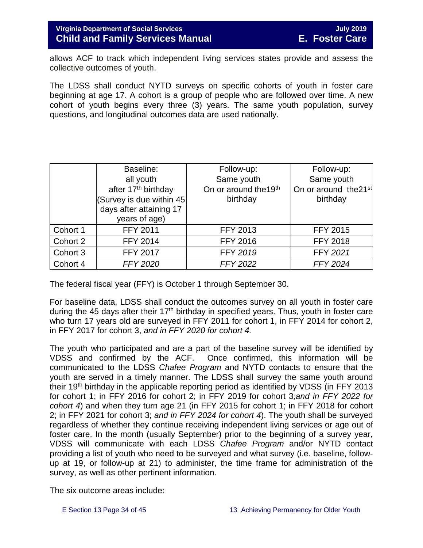allows ACF to track which independent living services states provide and assess the collective outcomes of youth.

The LDSS shall conduct NYTD surveys on specific cohorts of youth in foster care beginning at age 17. A cohort is a group of people who are followed over time. A new cohort of youth begins every three (3) years. The same youth population, survey questions, and longitudinal outcomes data are used nationally.

|          | Baseline:<br>all youth<br>after 17 <sup>th</sup> birthday<br>(Survey is due within 45<br>days after attaining 17<br>years of age) | Follow-up:<br>Same youth<br>On or around the 19th<br>birthday | Follow-up:<br>Same youth<br>On or around the 21 <sup>st</sup><br>birthday |
|----------|-----------------------------------------------------------------------------------------------------------------------------------|---------------------------------------------------------------|---------------------------------------------------------------------------|
| Cohort 1 | <b>FFY 2011</b>                                                                                                                   | <b>FFY 2013</b>                                               | <b>FFY 2015</b>                                                           |
| Cohort 2 | <b>FFY 2014</b>                                                                                                                   | <b>FFY 2016</b>                                               | <b>FFY 2018</b>                                                           |
| Cohort 3 | <b>FFY 2017</b>                                                                                                                   | <b>FFY 2019</b>                                               | FFY 2021                                                                  |
| Cohort 4 | <b>FFY 2020</b>                                                                                                                   | <b>FFY 2022</b>                                               | <b>FFY 2024</b>                                                           |

The federal fiscal year (FFY) is October 1 through September 30.

For baseline data, LDSS shall conduct the outcomes survey on all youth in foster care during the 45 days after their  $17<sup>th</sup>$  birthday in specified years. Thus, youth in foster care who turn 17 years old are surveyed in FFY 2011 for cohort 1, in FFY 2014 for cohort 2, in FFY 2017 for cohort 3, *and in FFY 2020 for cohort 4.*

The youth who participated and are a part of the baseline survey will be identified by VDSS and confirmed by the ACF. Once confirmed, this information will be communicated to the LDSS *Chafee Program* and NYTD contacts to ensure that the youth are served in a timely manner. The LDSS shall survey the same youth around their 19th birthday in the applicable reporting period as identified by VDSS (in FFY 2013 for cohort 1; in FFY 2016 for cohort 2; in FFY 2019 for cohort 3*;and in FFY 2022 for cohort 4*) and when they turn age 21 (in FFY 2015 for cohort 1; in FFY 2018 for cohort 2; in FFY 2021 for cohort 3; *and in FFY 2024 for cohort 4*). The youth shall be surveyed regardless of whether they continue receiving independent living services or age out of foster care. In the month (usually September) prior to the beginning of a survey year, VDSS will communicate with each LDSS *Chafee Program* and/or NYTD contact providing a list of youth who need to be surveyed and what survey (i.e. baseline, followup at 19, or follow-up at 21) to administer, the time frame for administration of the survey, as well as other pertinent information.

The six outcome areas include: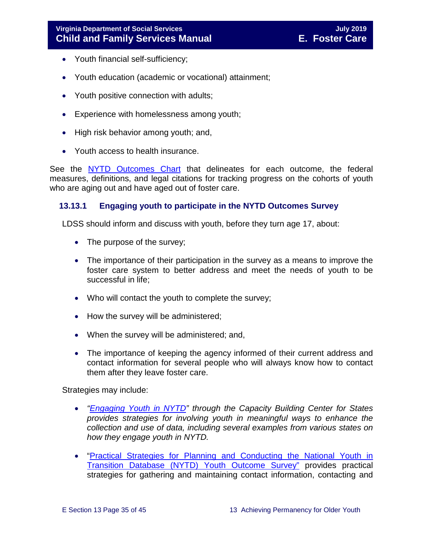- Youth financial self-sufficiency;
- Youth education (academic or vocational) attainment;
- Youth positive connection with adults;
- Experience with homelessness among youth;
- High risk behavior among youth; and,
- Youth access to health insurance.

See the [NYTD Outcomes Chart](https://fusion.dss.virginia.gov/dfs/DFS-Home/Foster-Care/Services-for-Older-Youth#NYTD) that delineates for each outcome, the federal measures, definitions, and legal citations for tracking progress on the cohorts of youth who are aging out and have aged out of foster care.

## <span id="page-34-0"></span>**13.13.1 Engaging youth to participate in the NYTD Outcomes Survey**

LDSS should inform and discuss with youth, before they turn age 17, about:

- The purpose of the survey;
- The importance of their participation in the survey as a means to improve the foster care system to better address and meet the needs of youth to be successful in life;
- Who will contact the youth to complete the survey;
- How the survey will be administered;
- When the survey will be administered; and,
- The importance of keeping the agency informed of their current address and contact information for several people who will always know how to contact them after they leave foster care.

Strategies may include:

- *["Engaging Youth in NYTD"](https://library.childwelfare.gov/cwig/ws/library/docs/capacity/Blob/107700.pdf?r=1&rpp=25&upp=0&w=NATIVE%28%27SIMPLE_SRCH+ph+is+%27%27nytd%27%27%27%29&m=1&order=native%28%27year%2FDescend%27%29) through the Capacity Building Center for States provides strategies for involving youth in meaningful ways to enhance the collection and use of data, including several examples from various states on how they engage youth in NYTD.*
- ["Practical Strategies for Planning and Conducting the National Youth in](http://www.pacwrc.pitt.edu/Curriculum/202%20National%20Youth%20in%20Transition%20Database/Trnr%20Rsrcs/TR02_PrctclStrtgsFrTrckngAndLctngYth.pdf)  [Transition Database \(NYTD\) Youth](http://www.pacwrc.pitt.edu/Curriculum/202%20National%20Youth%20in%20Transition%20Database/Trnr%20Rsrcs/TR02_PrctclStrtgsFrTrckngAndLctngYth.pdf) Outcome Survey" provides practical strategies for gathering and maintaining contact information, contacting and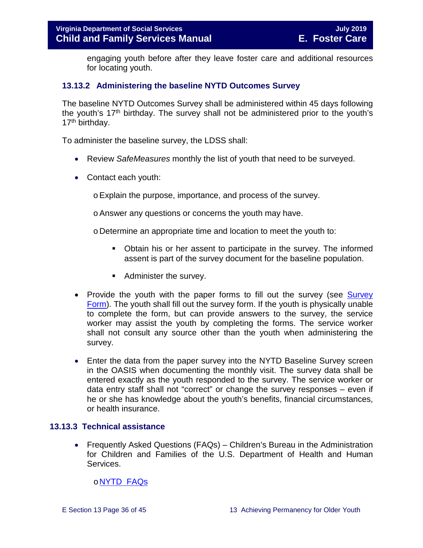engaging youth before after they leave foster care and additional resources for locating youth.

#### <span id="page-35-0"></span>**13.13.2 Administering the baseline NYTD Outcomes Survey**

The baseline NYTD Outcomes Survey shall be administered within 45 days following the youth's  $17<sup>th</sup>$  birthday. The survey shall not be administered prior to the youth's 17<sup>th</sup> birthday.

To administer the baseline survey, the LDSS shall:

- Review *SafeMeasures* monthly the list of youth that need to be surveyed.
- Contact each youth:

oExplain the purpose, importance, and process of the survey.

oAnswer any questions or concerns the youth may have.

o Determine an appropriate time and location to meet the youth to:

- Obtain his or her assent to participate in the survey. The informed assent is part of the survey document for the baseline population.
- **Administer the survey.**
- Provide the youth with the paper forms to fill out the survey (see Survey [Form\)](https://fusion.dss.virginia.gov/dfs/DFS-Home/Foster-Care/Services-for-Older-Youth#NYTD). The youth shall fill out the survey form. If the youth is physically unable to complete the form, but can provide answers to the survey, the service worker may assist the youth by completing the forms. The service worker shall not consult any source other than the youth when administering the survey.
- Enter the data from the paper survey into the NYTD Baseline Survey screen in the OASIS when documenting the monthly visit. The survey data shall be entered exactly as the youth responded to the survey. The service worker or data entry staff shall not "correct" or change the survey responses – even if he or she has knowledge about the youth's benefits, financial circumstances, or health insurance.

#### <span id="page-35-1"></span>**13.13.3 Technical assistance**

• Frequently Asked Questions (FAQs) – Children's Bureau in the Administration for Children and Families of the U.S. Department of Health and Human Services.

## o[NYTD FAQs](https://www.childwelfare.gov/cb/research-data-technology/reporting-systems/nytd/faq/)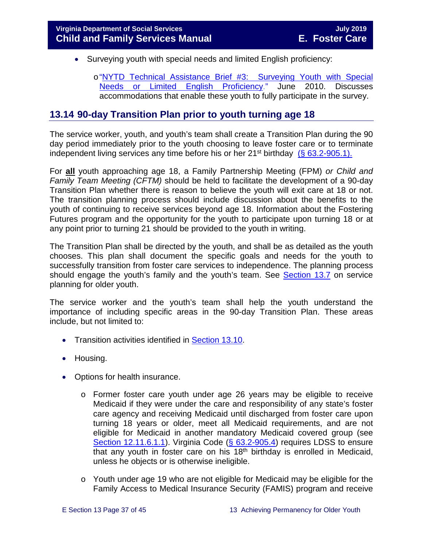- Surveying youth with special needs and limited English proficiency:
	- o "NYTD Technical Assistance Brief #3: Surveying Youth with Special<br>Needs or Limited English Proficiency." June 2010. Discusses [Needs or Limited English Proficiency.](http://www.acf.hhs.gov/programs/cb/resource/nytd-data-brief-3)" accommodations that enable these youth to fully participate in the survey.

# <span id="page-36-0"></span>**13.14 90-day Transition Plan prior to youth turning age 18**

The service worker, youth, and youth's team shall create a Transition Plan during the 90 day period immediately prior to the youth choosing to leave foster care or to terminate independent living services any time before his or her  $21^{st}$  birthday [\(§ 63.2-905.1\).](http://law.lis.virginia.gov/vacode/title63.2/chapter9/section63.2-905.1/)

For **all** youth approaching age 18, a Family Partnership Meeting (FPM) *or Child and Family Team Meeting (CFTM)* should be held to facilitate the development of a 90-day Transition Plan whether there is reason to believe the youth will exit care at 18 or not. The transition planning process should include discussion about the benefits to the youth of continuing to receive services beyond age 18. Information about the Fostering Futures program and the opportunity for the youth to participate upon turning 18 or at any point prior to turning 21 should be provided to the youth in writing.

The Transition Plan shall be directed by the youth, and shall be as detailed as the youth chooses. This plan shall document the specific goals and needs for the youth to successfully transition from foster care services to independence. The planning process should engage the youth's family and the youth's team. See [Section 13.7](#page-16-0) on service planning for older youth.

The service worker and the youth's team shall help the youth understand the importance of including specific areas in the 90-day Transition Plan. These areas include, but not limited to:

- Transition activities identified in [Section 13.10.](#page-24-0)
- Housing.
- Options for health insurance.
	- o Former foster care youth under age 26 years may be eligible to receive Medicaid if they were under the care and responsibility of any state's foster care agency and receiving Medicaid until discharged from foster care upon turning 18 years or older, meet all Medicaid requirements, and are not eligible for Medicaid in another mandatory Medicaid covered group (see [Section 12.11.6.1.1\)](https://fusion.dss.virginia.gov/Portals/%5bdfs%5d/Files/DFS%20Manuals/Foster%20Care%20Manuals/Foster%20Care%20Manual%2007-2019/section_12_identifying_services_to_be_provided.pdf#page=27). Virginia Code [\(§ 63.2-905.4\)](https://law.lis.virginia.gov/vacode/title63.2/chapter9/section63.2-905.4/) requires LDSS to ensure that any youth in foster care on his  $18<sup>th</sup>$  birthday is enrolled in Medicaid, unless he objects or is otherwise ineligible.
	- o Youth under age 19 who are not eligible for Medicaid may be eligible for the Family Access to Medical Insurance Security (FAMIS) program and receive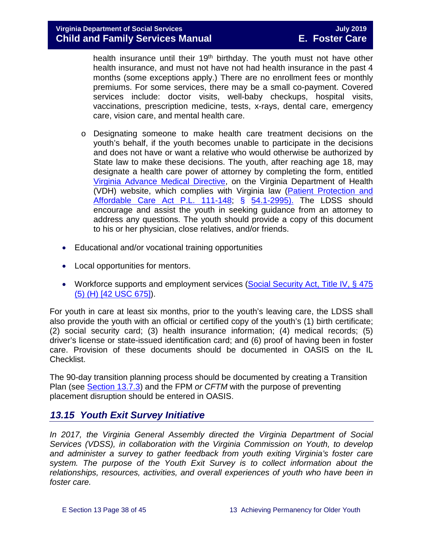health insurance until their 19<sup>th</sup> birthday. The youth must not have other health insurance, and must not have not had health insurance in the past 4 months (some exceptions apply.) There are no enrollment fees or monthly premiums. For some services, there may be a small co-payment. Covered services include: doctor visits, well-baby checkups, hospital visits, vaccinations, prescription medicine, tests, x-rays, dental care, emergency care, vision care, and mental health care.

- o Designating someone to make health care treatment decisions on the youth's behalf, if the youth becomes unable to participate in the decisions and does not have or want a relative who would otherwise be authorized by State law to make these decisions. The youth, after reaching age 18, may designate a health care power of attorney by completing the form, entitled [Virginia Advance Medical Directive,](http://www.vdh.virginia.gov/OLC/documents/2008/pdfs/2005%20advanced%20directive%20form.pdf) on the Virginia Department of Health (VDH) website, which complies with Virginia law [\(Patient Protection and](http://www.gpo.gov/fdsys/pkg/PLAW-111publ148/pdf/PLAW-111publ148.pdf)  [Affordable Care Act P.L. 111-148;](http://www.gpo.gov/fdsys/pkg/PLAW-111publ148/pdf/PLAW-111publ148.pdf) § [54.1-2995\).](http://law.lis.virginia.gov/vacode/54.1-2995/) The LDSS should encourage and assist the youth in seeking guidance from an attorney to address any questions. The youth should provide a copy of this document to his or her physician, close relatives, and/or friends.
- Educational and/or vocational training opportunities
- Local opportunities for mentors.
- Workforce supports and employment services (Social Security Act, Title IV, § 475 [\(5\) \(H\) \[42 USC 675\]\)](http://www.ssa.gov/OP_Home/ssact/title04/0475.htm).

For youth in care at least six months, prior to the youth's leaving care, the LDSS shall also provide the youth with an official or certified copy of the youth's (1) birth certificate; (2) social security card; (3) health insurance information; (4) medical records; (5) driver's license or state-issued identification card; and (6) proof of having been in foster care. Provision of these documents should be documented in OASIS on the IL Checklist.

The 90-day transition planning process should be documented by creating a Transition Plan (see [Section 13.7.3\)](#page-19-1) and the FPM *or CFTM* with the purpose of preventing placement disruption should be entered in OASIS.

# <span id="page-37-0"></span>*13.15 Youth Exit Survey Initiative*

*In 2017, the Virginia General Assembly directed the Virginia Department of Social Services (VDSS), in collaboration with the Virginia Commission on Youth, to develop and administer a survey to gather feedback from youth exiting Virginia's foster care system. The purpose of the Youth Exit Survey is to collect information about the relationships, resources, activities, and overall experiences of youth who have been in foster care.*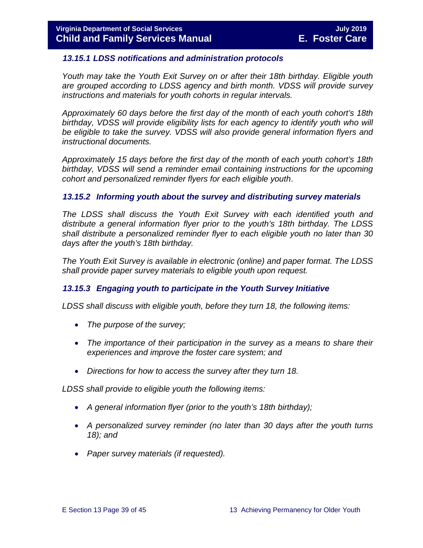#### <span id="page-38-0"></span>*13.15.1 LDSS notifications and administration protocols*

*Youth may take the Youth Exit Survey on or after their 18th birthday. Eligible youth are grouped according to LDSS agency and birth month. VDSS will provide survey instructions and materials for youth cohorts in regular intervals.* 

*Approximately 60 days before the first day of the month of each youth cohort's 18th birthday, VDSS will provide eligibility lists for each agency to identify youth who will be eligible to take the survey. VDSS will also provide general information flyers and instructional documents.*

*Approximately 15 days before the first day of the month of each youth cohort's 18th birthday, VDSS will send a reminder email containing instructions for the upcoming cohort and personalized reminder flyers for each eligible youth*.

#### <span id="page-38-1"></span>*13.15.2 Informing youth about the survey and distributing survey materials*

*The LDSS shall discuss the Youth Exit Survey with each identified youth and distribute a general information flyer prior to the youth's 18th birthday. The LDSS shall distribute a personalized reminder flyer to each eligible youth no later than 30 days after the youth's 18th birthday.* 

*The Youth Exit Survey is available in electronic (online) and paper format. The LDSS shall provide paper survey materials to eligible youth upon request.*

#### <span id="page-38-2"></span>*13.15.3 Engaging youth to participate in the Youth Survey Initiative*

*LDSS shall discuss with eligible youth, before they turn 18, the following items:*

- *The purpose of the survey;*
- *The importance of their participation in the survey as a means to share their experiences and improve the foster care system; and*
- *Directions for how to access the survey after they turn 18.*

*LDSS shall provide to eligible youth the following items:*

- *A general information flyer (prior to the youth's 18th birthday);*
- *A personalized survey reminder (no later than 30 days after the youth turns 18); and*
- *Paper survey materials (if requested).*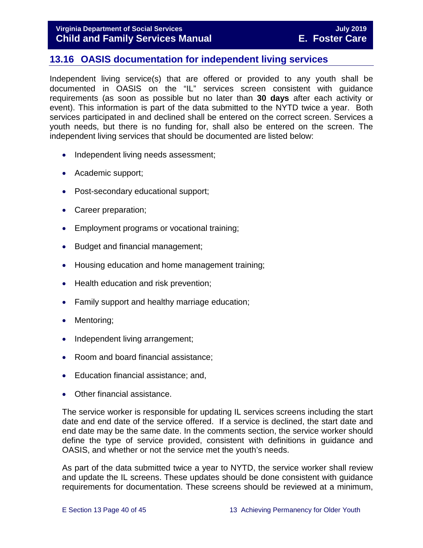# <span id="page-39-0"></span>**13.16 OASIS documentation for independent living services**

Independent living service(s) that are offered or provided to any youth shall be documented in OASIS on the "IL" services screen consistent with guidance requirements (as soon as possible but no later than **30 days** after each activity or event). This information is part of the data submitted to the NYTD twice a year. Both services participated in and declined shall be entered on the correct screen. Services a youth needs, but there is no funding for, shall also be entered on the screen. The independent living services that should be documented are listed below:

- Independent living needs assessment;
- Academic support;
- Post-secondary educational support;
- Career preparation;
- Employment programs or vocational training;
- Budget and financial management;
- Housing education and home management training;
- Health education and risk prevention;
- Family support and healthy marriage education;
- Mentoring;
- Independent living arrangement;
- Room and board financial assistance;
- Education financial assistance; and,
- Other financial assistance.

The service worker is responsible for updating IL services screens including the start date and end date of the service offered. If a service is declined, the start date and end date may be the same date. In the comments section, the service worker should define the type of service provided, consistent with definitions in guidance and OASIS, and whether or not the service met the youth's needs.

As part of the data submitted twice a year to NYTD, the service worker shall review and update the IL screens. These updates should be done consistent with guidance requirements for documentation. These screens should be reviewed at a minimum,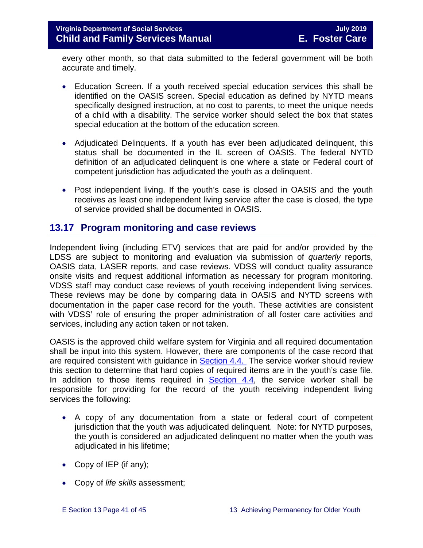every other month, so that data submitted to the federal government will be both accurate and timely.

- Education Screen. If a youth received special education services this shall be identified on the OASIS screen. Special education as defined by NYTD means specifically designed instruction, at no cost to parents, to meet the unique needs of a child with a disability. The service worker should select the box that states special education at the bottom of the education screen.
- Adjudicated Delinquents. If a youth has ever been adjudicated delinquent, this status shall be documented in the IL screen of OASIS. The federal NYTD definition of an adjudicated delinquent is one where a state or Federal court of competent jurisdiction has adjudicated the youth as a delinquent.
- Post independent living. If the youth's case is closed in OASIS and the youth receives as least one independent living service after the case is closed, the type of service provided shall be documented in OASIS.

# <span id="page-40-0"></span>**13.17 Program monitoring and case reviews**

Independent living (including ETV) services that are paid for and/or provided by the LDSS are subject to monitoring and evaluation via submission of *quarterly* reports, OASIS data, LASER reports, and case reviews. VDSS will conduct quality assurance onsite visits and request additional information as necessary for program monitoring. VDSS staff may conduct case reviews of youth receiving independent living services. These reviews may be done by comparing data in OASIS and NYTD screens with documentation in the paper case record for the youth. These activities are consistent with VDSS' role of ensuring the proper administration of all foster care activities and services, including any action taken or not taken.

OASIS is the approved child welfare system for Virginia and all required documentation shall be input into this system. However, there are components of the case record that are required consistent with guidance in **Section 4.4.** The service worker should review this section to determine that hard copies of required items are in the youth's case file. In addition to those items required in  $Section 4.4$ , the service worker shall be responsible for providing for the record of the youth receiving independent living services the following:

- A copy of any documentation from a state or federal court of competent jurisdiction that the youth was adjudicated delinquent. Note: for NYTD purposes, the youth is considered an adjudicated delinquent no matter when the youth was adjudicated in his lifetime;
- Copy of IEP (if any);
- Copy of *life skills* assessment;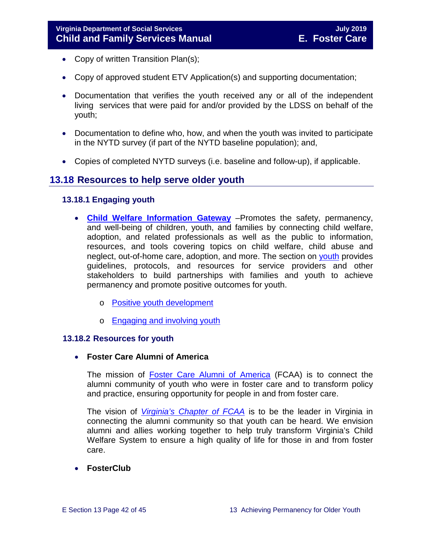- Copy of written Transition Plan(s);
- Copy of approved student ETV Application(s) and supporting documentation;
- Documentation that verifies the youth received any or all of the independent living services that were paid for and/or provided by the LDSS on behalf of the youth;
- Documentation to define who, how, and when the youth was invited to participate in the NYTD survey (if part of the NYTD baseline population); and,
- <span id="page-41-0"></span>• Copies of completed NYTD surveys (i.e. baseline and follow-up), if applicable.

# **13.18 Resources to help serve older youth**

## <span id="page-41-1"></span>**13.18.1 Engaging youth**

- **[Child Welfare Information Gateway](https://www.childwelfare.gov/)** –Promotes the safety, permanency, and well-being of children, youth, and families by connecting child welfare, adoption, and related professionals as well as the public to information, resources, and tools covering topics on child welfare, child abuse and neglect, out-of-home care, adoption, and more. The section on [youth](https://www.childwelfare.gov/topics/systemwide/youth/) provides guidelines, protocols, and resources for service providers and other stakeholders to build partnerships with families and youth to achieve permanency and promote positive outcomes for youth.
	- o [Positive youth development](https://www.childwelfare.gov/topics/systemwide/youth/development/)
	- o [Engaging and involving youth](https://www.childwelfare.gov/topics/systemwide/youth/engagingyouth/)

#### <span id="page-41-2"></span>**13.18.2 Resources for youth**

#### • **Foster Care Alumni of America**

The mission of [Foster Care Alumni of America](http://www.fostercarealumni.org/) (FCAA) is to connect the alumni community of youth who were in foster care and to transform policy and practice, ensuring opportunity for people in and from foster care.

The vision of *[Virginia's](http://www.fostercarealumni.org/virginia-chapter/) Chapter of FCAA* is to be the leader in Virginia in connecting the alumni community so that youth can be heard. We envision alumni and allies working together to help truly transform Virginia's Child Welfare System to ensure a high quality of life for those in and from foster care.

## • **FosterClub**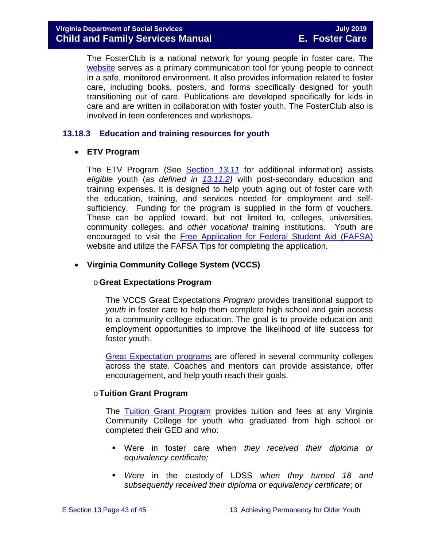The FosterClub is a national network for young people in foster care. The [website](http://www.fosterclub.com/) serves as a primary communication tool for young people to connect in a safe, monitored environment. It also provides information related to foster care, including books, posters, and forms specifically designed for youth transitioning out of care. Publications are developed specifically for kids in care and are written in collaboration with foster youth. The FosterClub also is involved in teen conferences and workshops.

## <span id="page-42-0"></span>**13.18.3 Education and training resources for youth**

## • **ETV Program**

The ETV Program (See [Section](#page-25-0) *13.11* for additional information) assists *eligible* youth (*as defined in [13.11.2\)](#page-26-1)* with post-secondary education and training expenses. It is designed to help youth aging out of foster care with the education, training, and services needed for employment and selfsufficiency. Funding for the program is supplied in the form of vouchers. These can be applied toward, but not limited to, colleges, universities, community colleges, and *other vocational* training institutions. Youth are encouraged to visit the [Free Application for Federal Student Aid \(FAFSA\)](http://www.fafsa.ed.gov/) website and utilize the FAFSA Tips for completing the application.

# • **Virginia Community College System (VCCS)**

## o**Great Expectations Program**

The VCCS Great Expectations *Program* provides transitional support to *youth* in foster care to help them complete high school and gain access to a community college education. The goal is to provide education and employment opportunities to improve the likelihood of life success for foster youth.

[Great Expectation programs](http://greatexpectations.vccs.edu/) are offered in several community colleges across the state. Coaches and mentors can provide assistance, offer encouragement, and help youth reach their goals.

## o**Tuition Grant Program**

The [Tuition Grant Program](http://cdn.vccs.edu/wp-content/uploads/2013/07/vatutiongrantflyer.pdf) provides tuition and fees at any Virginia Community College for youth who graduated from high school or completed their GED and who:

- Were in foster care when *they received their diploma or equivalency certificate;*
- *Were* in the custody of LDSS *when they turned 18 and subsequently received their diploma or equivalency certificate*; or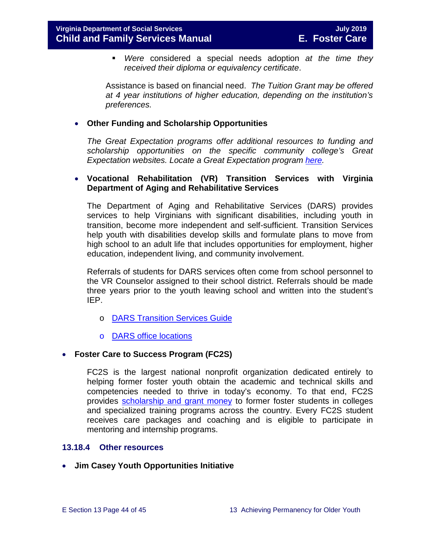*Were* considered a special needs adoption *at the time they received their diploma or equivalency certificate*.

Assistance is based on financial need. *The Tuition Grant may be offered at 4 year institutions of higher education, depending on the institution's preferences.*

#### • **Other Funding and Scholarship Opportunities**

*The Great Expectation programs offer additional resources to funding and scholarship opportunities on the specific community college's Great Expectation websites. Locate a Great Expectation program [here.](http://greatexpectations.vccs.edu/find-a-college/)*

#### • **Vocational Rehabilitation (VR) Transition Services with Virginia Department of Aging and Rehabilitative Services**

The Department of Aging and Rehabilitative Services (DARS) provides services to help Virginians with significant disabilities, including youth in transition, become more independent and self-sufficient. Transition Services help youth with disabilities develop skills and formulate plans to move from high school to an adult life that includes opportunities for employment, higher education, independent living, and community involvement.

Referrals of students for DARS services often come from school personnel to the VR Counselor assigned to their school district. Referrals should be made three years prior to the youth leaving school and written into the student's IEP.

- o [DARS Transition Services Guide](https://www.vadars.org/downloads/publications/TransitionServicesGuide.pdf)
- o [DARS office locations](http://www.vadrs.org/office.html)

#### • **Foster Care to Success Program (FC2S)**

FC2S is the largest national nonprofit organization dedicated entirely to helping former foster youth obtain the academic and technical skills and competencies needed to thrive in today's economy. To that end, FC2S provides [scholarship and grant money](http://www.fc2success.org/) to former foster students in colleges and specialized training programs across the country. Every FC2S student receives care packages and coaching and is eligible to participate in mentoring and internship programs.

#### <span id="page-43-0"></span>**13.18.4 Other resources**

• **Jim Casey Youth Opportunities Initiative**